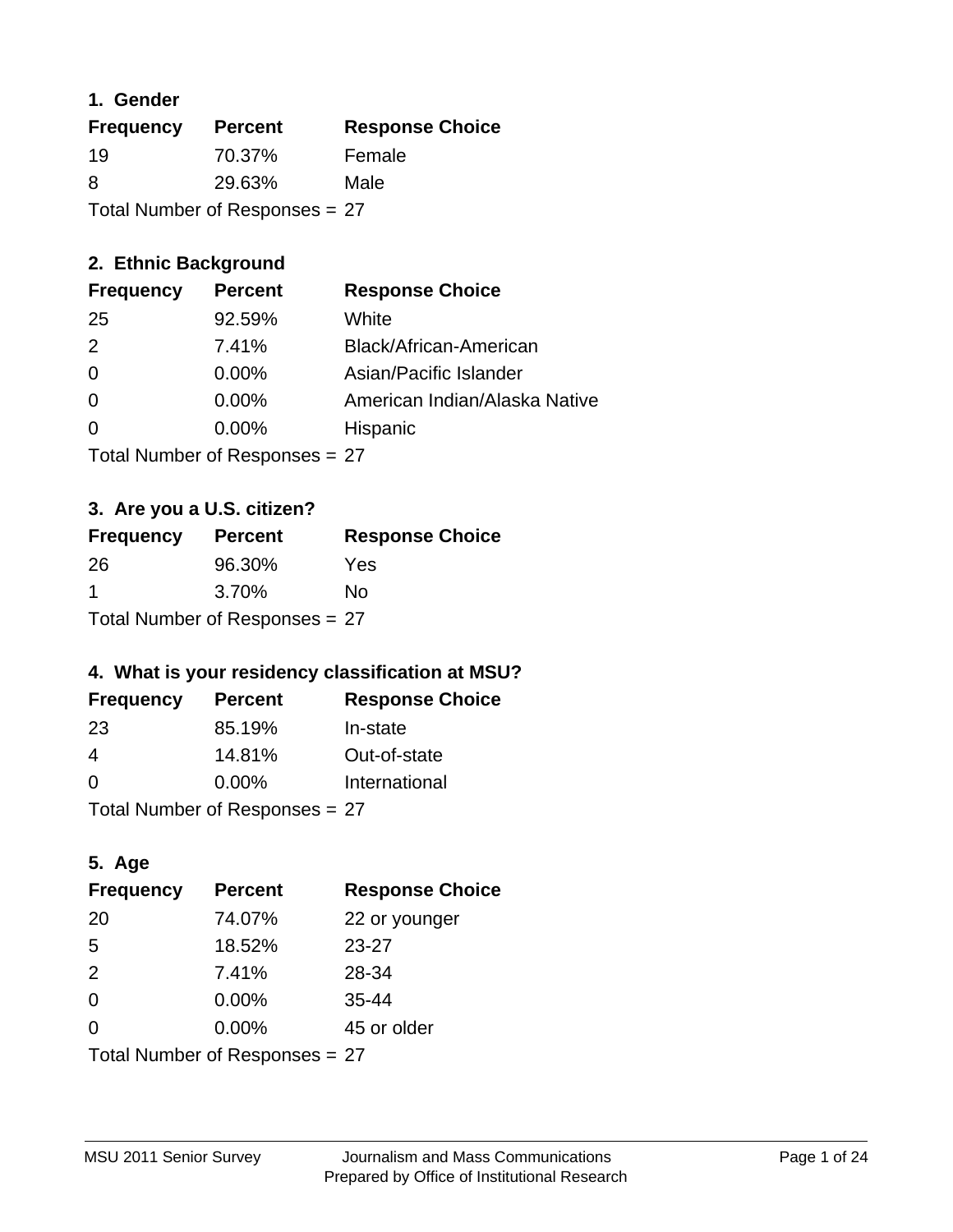## **1. Gender**

| <b>Frequency</b> | <b>Percent</b>                 | <b>Response Choice</b> |
|------------------|--------------------------------|------------------------|
| 19               | 70.37%                         | Female                 |
| 8                | 29.63%                         | Male                   |
|                  | Total Number of Responses = 27 |                        |

## **2. Ethnic Background**

| <b>Frequency</b> | <b>Percent</b> | <b>Response Choice</b>        |
|------------------|----------------|-------------------------------|
| 25               | 92.59%         | White                         |
| $\mathcal{P}$    | 7.41%          | Black/African-American        |
| $\Omega$         | 0.00%          | Asian/Pacific Islander        |
| $\Omega$         | 0.00%          | American Indian/Alaska Native |
|                  | $0.00\%$       | Hispanic                      |
|                  |                |                               |

Total Number of Responses = 27

## **3. Are you a U.S. citizen?**

| <b>Frequency</b>               | <b>Percent</b> | <b>Response Choice</b> |
|--------------------------------|----------------|------------------------|
| -26                            | 96.30%         | Yes                    |
| -1                             | 3.70%          | Nο                     |
| Total Number of Responses = 27 |                |                        |

## **4. What is your residency classification at MSU?**

| <b>Frequency</b> | <b>Percent</b> | <b>Response Choice</b> |
|------------------|----------------|------------------------|
| -23              | 85.19%         | In-state               |
| 4                | 14.81%         | Out-of-state           |
| $\Omega$         | $0.00\%$       | International          |
|                  |                |                        |

Total Number of Responses = 27

## **5. Age**

| <b>Frequency</b>               | <b>Percent</b> | <b>Response Choice</b> |
|--------------------------------|----------------|------------------------|
| 20                             | 74.07%         | 22 or younger          |
| 5                              | 18.52%         | $23 - 27$              |
| 2                              | 7.41%          | 28-34                  |
| $\Omega$                       | 0.00%          | $35 - 44$              |
| 0                              | 0.00%          | 45 or older            |
| Total Number of Responses = 27 |                |                        |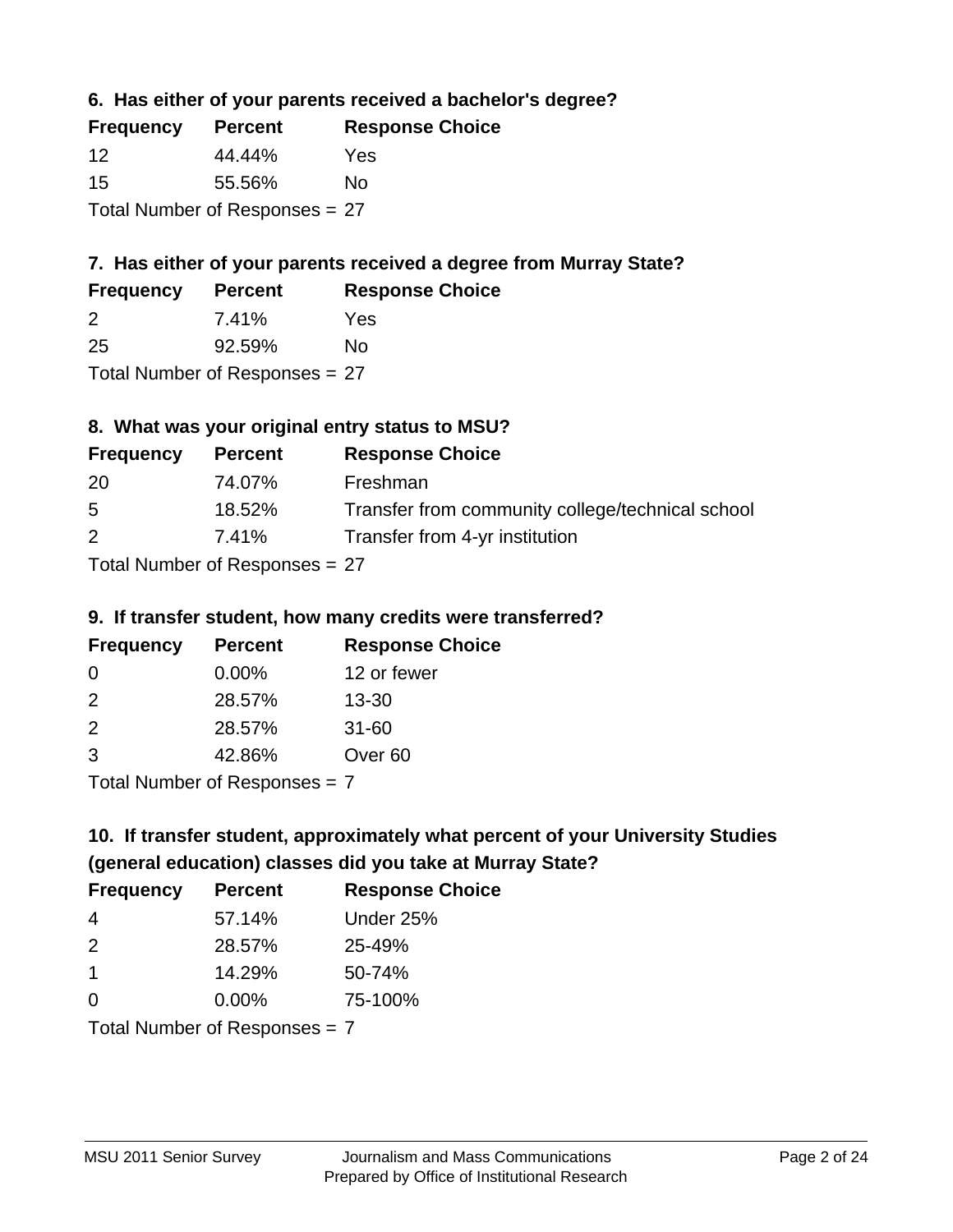**6. Has either of your parents received a bachelor's degree?**

| <b>Frequency</b>               | <b>Percent</b> | <b>Response Choice</b> |
|--------------------------------|----------------|------------------------|
| 12                             | 44.44%         | Yes                    |
| 15                             | 55.56%         | Nο                     |
| Total Number of Responses = 27 |                |                        |

## **7. Has either of your parents received a degree from Murray State?**

| <b>Frequency</b> | <b>Percent</b> | <b>Response Choice</b> |
|------------------|----------------|------------------------|
| -2               | 7.41%          | Yes                    |
| 25               | 92.59%         | No                     |

Total Number of Responses = 27

## **8. What was your original entry status to MSU?**

| <b>Frequency</b> | <b>Percent</b>                   | <b>Response Choice</b>                           |
|------------------|----------------------------------|--------------------------------------------------|
| -20              | 74.07%                           | Freshman                                         |
| -5               | 18.52%                           | Transfer from community college/technical school |
| 2                | 7.41%                            | Transfer from 4-yr institution                   |
|                  | Total Number of Responses $= 27$ |                                                  |

## **9. If transfer student, how many credits were transferred?**

| <b>Frequency</b>            | <b>Percent</b> | <b>Response Choice</b> |
|-----------------------------|----------------|------------------------|
| 0                           | $0.00\%$       | 12 or fewer            |
| $\mathcal{P}$               | 28.57%         | $13 - 30$              |
| $\mathcal{P}$               | 28.57%         | $31 - 60$              |
| -3                          | 42.86%         | Over <sub>60</sub>     |
| Total Number of Despanses 7 |                |                        |

Total Number of Responses = 7

## **10. If transfer student, approximately what percent of your University Studies (general education) classes did you take at Murray State?**

| <b>Frequency</b> | <b>Percent</b>                  | <b>Response Choice</b> |
|------------------|---------------------------------|------------------------|
| 4                | 57.14%                          | Under 25%              |
| $\mathcal{P}$    | 28.57%                          | 25-49%                 |
| $\overline{1}$   | 14.29%                          | 50-74%                 |
| $\Omega$         | 0.00%                           | 75-100%                |
|                  | Total Number of Responses $= 7$ |                        |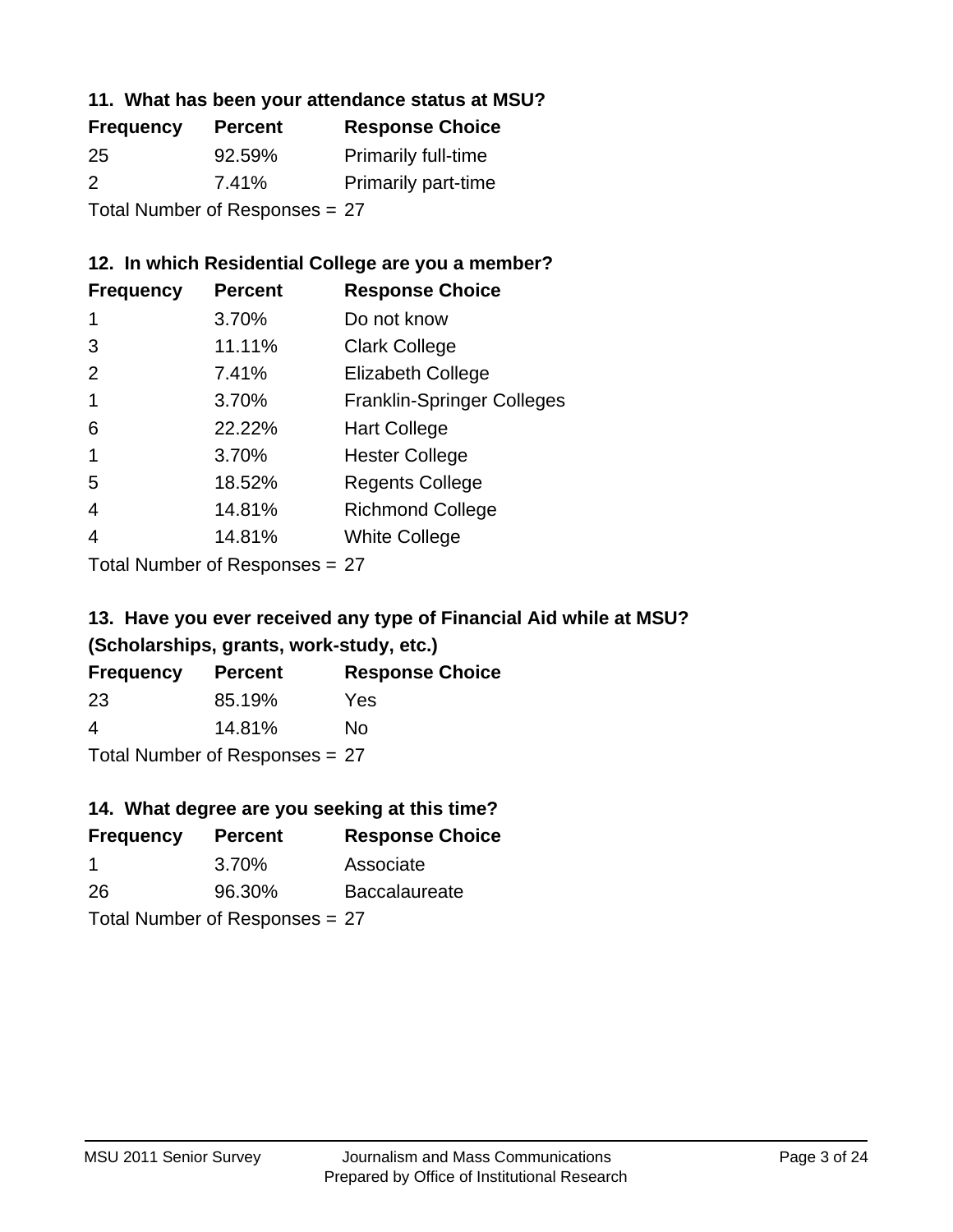## **11. What has been your attendance status at MSU?**

| <b>Frequency</b>               | <b>Percent</b> | <b>Response Choice</b>     |
|--------------------------------|----------------|----------------------------|
| 25                             | 92.59%         | <b>Primarily full-time</b> |
| $\mathcal{P}$                  | 7.41%          | <b>Primarily part-time</b> |
| Total Number of Responses = 27 |                |                            |

# **12. In which Residential College are you a member?**

| <b>Frequency</b> | <b>Percent</b> | <b>Response Choice</b>            |
|------------------|----------------|-----------------------------------|
| 1                | 3.70%          | Do not know                       |
| 3                | 11.11%         | <b>Clark College</b>              |
| 2                | 7.41%          | <b>Elizabeth College</b>          |
| 1                | 3.70%          | <b>Franklin-Springer Colleges</b> |
| 6                | 22.22%         | <b>Hart College</b>               |
| 1                | 3.70%          | <b>Hester College</b>             |
| 5                | 18.52%         | <b>Regents College</b>            |
| 4                | 14.81%         | <b>Richmond College</b>           |
| 4                | 14.81%         | <b>White College</b>              |

Total Number of Responses = 27

## **13. Have you ever received any type of Financial Aid while at MSU? (Scholarships, grants, work-study, etc.)**

| <b>Frequency</b> | <b>Percent</b>             | <b>Response Choice</b> |
|------------------|----------------------------|------------------------|
| 23               | 85.19%                     | Yes                    |
| 4                | 14.81%                     | No.                    |
|                  | Tatal Manakan af Dagmanage |                        |

Total Number of Responses = 27

## **14. What degree are you seeking at this time?**

| <b>Frequency</b>     | <b>Percent</b>                 | <b>Response Choice</b> |
|----------------------|--------------------------------|------------------------|
| $\blacktriangleleft$ | 3.70%                          | Associate              |
| 26                   | 96.30%                         | <b>Baccalaureate</b>   |
|                      | Total Number of Responses = 27 |                        |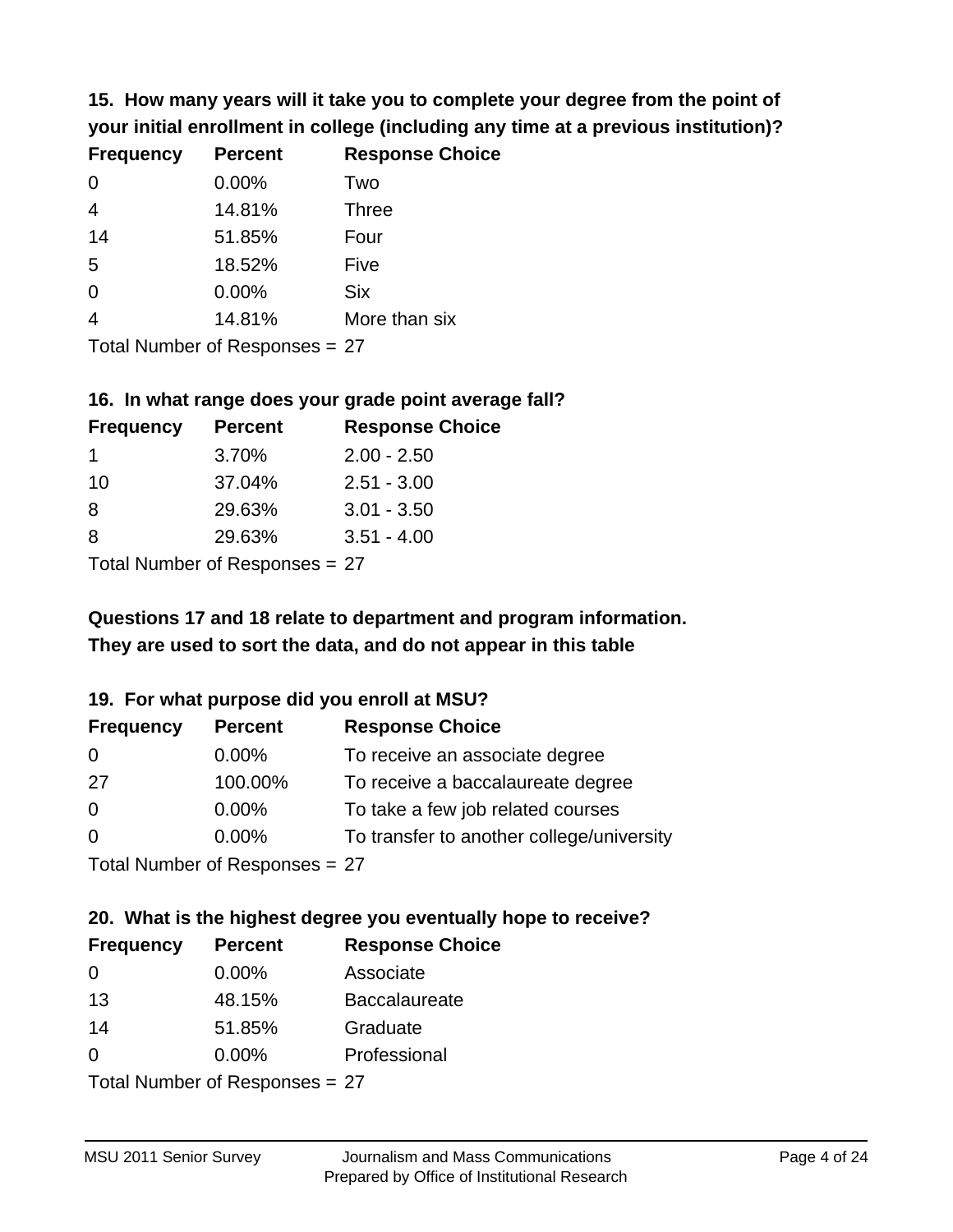**15. How many years will it take you to complete your degree from the point of your initial enrollment in college (including any time at a previous institution)?**

| <b>Frequency</b> | <b>Percent</b> | <b>Response Choice</b> |
|------------------|----------------|------------------------|
| 0                | 0.00%          | Two                    |
| $\overline{4}$   | 14.81%         | <b>Three</b>           |
| 14               | 51.85%         | Four                   |
| 5                | 18.52%         | Five                   |
| 0                | 0.00%          | <b>Six</b>             |
| $\overline{4}$   | 14.81%         | More than six          |
|                  |                |                        |

Total Number of Responses = 27

#### **16. In what range does your grade point average fall?**

| <b>Frequency</b> | <b>Percent</b> | <b>Response Choice</b> |
|------------------|----------------|------------------------|
|                  | 3.70%          | $2.00 - 2.50$          |
| 10               | 37.04%         | $2.51 - 3.00$          |
| 8                | 29.63%         | $3.01 - 3.50$          |
| 8                | 29.63%         | $3.51 - 4.00$          |
|                  |                |                        |

Total Number of Responses = 27

## **They are used to sort the data, and do not appear in this table Questions 17 and 18 relate to department and program information.**

#### **19. For what purpose did you enroll at MSU?**

| <b>Frequency</b> | <b>Percent</b>                 | <b>Response Choice</b>                    |
|------------------|--------------------------------|-------------------------------------------|
| -0               | $0.00\%$                       | To receive an associate degree            |
| -27              | 100.00%                        | To receive a baccalaureate degree         |
| $\overline{0}$   | $0.00\%$                       | To take a few job related courses         |
| $\overline{0}$   | $0.00\%$                       | To transfer to another college/university |
|                  | Total Number of Recnonces - 27 |                                           |

Total Number of Responses = 27

# **20. What is the highest degree you eventually hope to receive?**

| <b>Frequency</b> | <b>Percent</b>                 | <b>Response Choice</b> |
|------------------|--------------------------------|------------------------|
| $\Omega$         | $0.00\%$                       | Associate              |
| 13               | 48.15%                         | <b>Baccalaureate</b>   |
| 14               | 51.85%                         | Graduate               |
| $\Omega$         | $0.00\%$                       | Professional           |
|                  | Total Number of Responses = 27 |                        |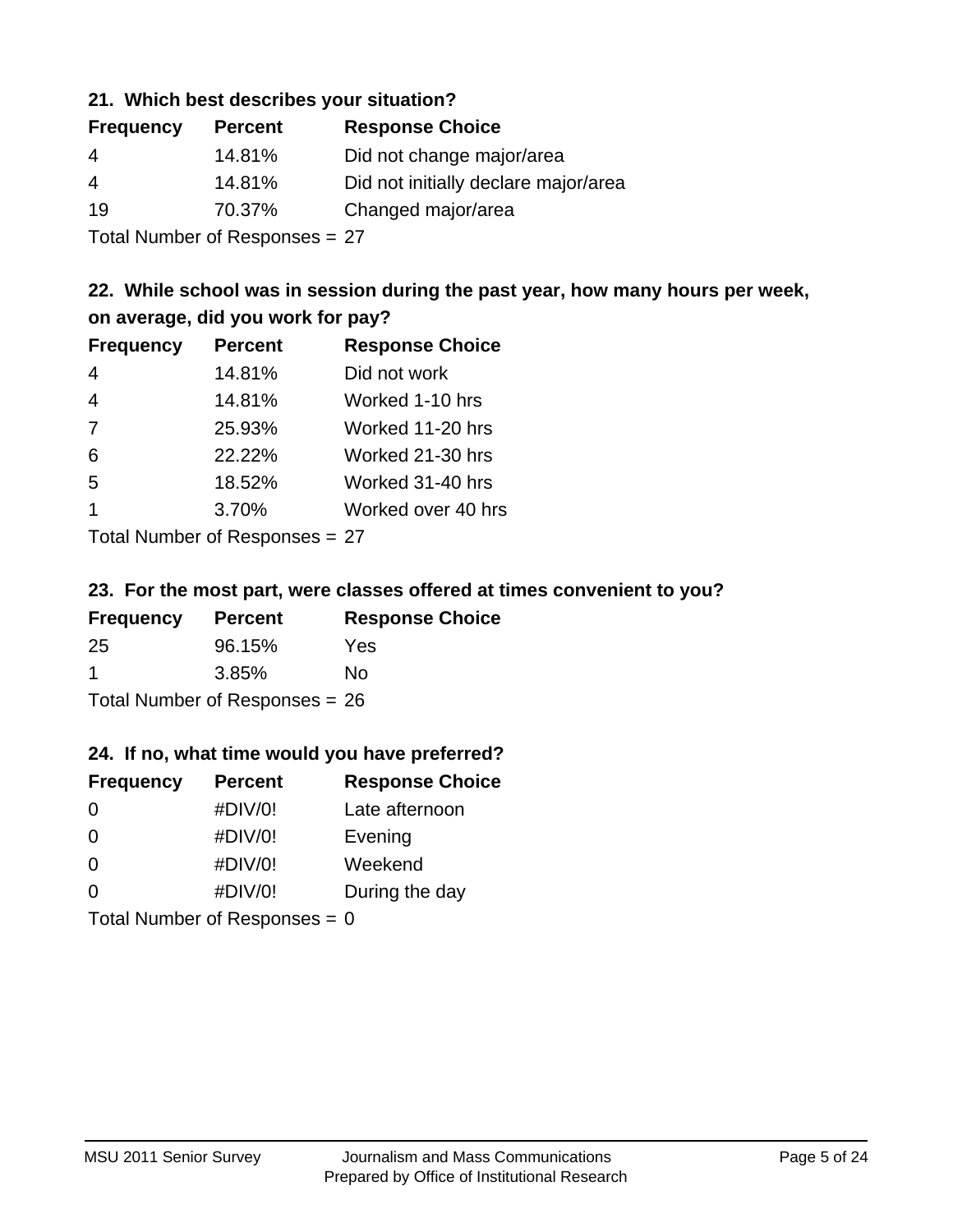#### **21. Which best describes your situation?**

| <b>Frequency</b> | <b>Percent</b> | <b>Response Choice</b>               |
|------------------|----------------|--------------------------------------|
| 4                | 14.81%         | Did not change major/area            |
| 4                | 14.81%         | Did not initially declare major/area |
| 19               | 70.37%         | Changed major/area                   |
|                  |                |                                      |

Total Number of Responses = 27

## **22. While school was in session during the past year, how many hours per week, on average, did you work for pay?**

| <b>Frequency</b> | <b>Percent</b> | <b>Response Choice</b> |
|------------------|----------------|------------------------|
| $\overline{4}$   | 14.81%         | Did not work           |
| $\overline{4}$   | 14.81%         | Worked 1-10 hrs        |
| 7                | 25.93%         | Worked 11-20 hrs       |
| 6                | 22.22%         | Worked 21-30 hrs       |
| 5                | 18.52%         | Worked 31-40 hrs       |
| $\overline{1}$   | 3.70%          | Worked over 40 hrs     |
|                  |                |                        |

Total Number of Responses = 27

#### **23. For the most part, were classes offered at times convenient to you?**

| <b>Frequency</b>                 | <b>Percent</b> | <b>Response Choice</b> |
|----------------------------------|----------------|------------------------|
| -25                              | 96.15%         | <b>Yes</b>             |
| -1                               | 3.85%          | No.                    |
| Total Number of Responses = $26$ |                |                        |

#### **24. If no, what time would you have preferred?**

| <b>Frequency</b>                | <b>Percent</b> | <b>Response Choice</b> |
|---------------------------------|----------------|------------------------|
| $\Omega$                        | #DIV/0!        | Late afternoon         |
| 0                               | #DIV/0!        | Evening                |
| 0                               | #DIV/0!        | Weekend                |
| $\Omega$                        | #DIV/0!        | During the day         |
| Total Number of Responses = $0$ |                |                        |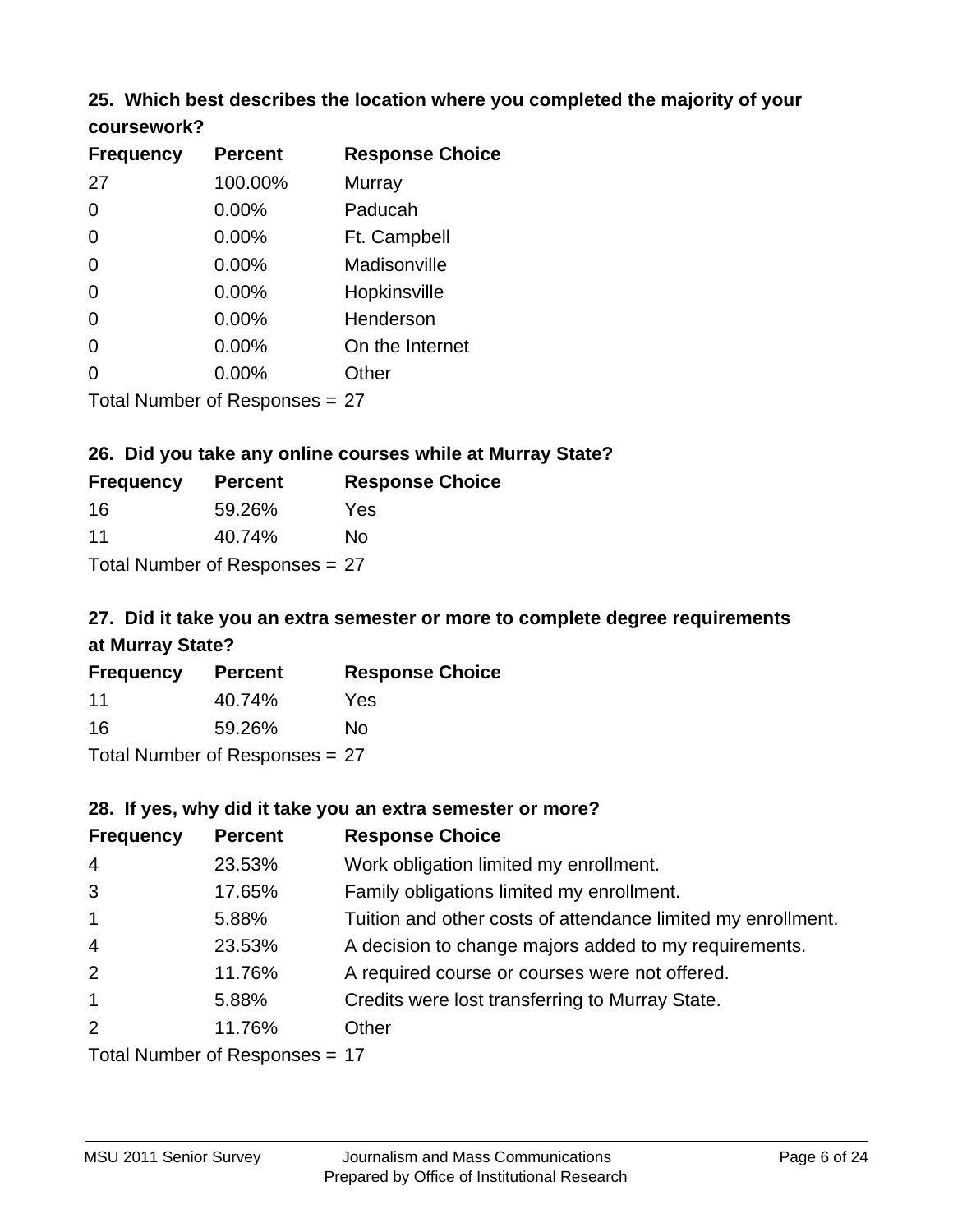# **25. Which best describes the location where you completed the majority of your**

| coursework? |
|-------------|
|-------------|

| <b>Frequency</b> | <b>Percent</b>                   | <b>Response Choice</b> |
|------------------|----------------------------------|------------------------|
| 27               | 100.00%                          | Murray                 |
| 0                | 0.00%                            | Paducah                |
| 0                | 0.00%                            | Ft. Campbell           |
| 0                | 0.00%                            | Madisonville           |
| 0                | 0.00%                            | Hopkinsville           |
| 0                | $0.00\%$                         | Henderson              |
| 0                | 0.00%                            | On the Internet        |
| 0                | 0.00%                            | Other                  |
|                  | Total Number of Responses $= 27$ |                        |

## **26. Did you take any online courses while at Murray State?**

| <b>Frequency</b>               | <b>Percent</b> | <b>Response Choice</b> |  |  |
|--------------------------------|----------------|------------------------|--|--|
| 16                             | 59.26%         | Yes                    |  |  |
| 11                             | 40.74%         | No                     |  |  |
| Total Number of Responses = 27 |                |                        |  |  |

## **27. Did it take you an extra semester or more to complete degree requirements at Murray State?**

| <b>Frequency</b> | <b>Percent</b>                 | <b>Response Choice</b> |
|------------------|--------------------------------|------------------------|
| 11               | 40.74%                         | Yes                    |
| 16               | 59.26%                         | No                     |
|                  | Total Number of Responses = 27 |                        |

#### **28. If yes, why did it take you an extra semester or more?**

| <b>Frequency</b> | <b>Percent</b>                   | <b>Response Choice</b>                                       |
|------------------|----------------------------------|--------------------------------------------------------------|
| $\overline{4}$   | 23.53%                           | Work obligation limited my enrollment.                       |
| 3                | 17.65%                           | Family obligations limited my enrollment.                    |
| $\mathbf{1}$     | 5.88%                            | Tuition and other costs of attendance limited my enrollment. |
| $\overline{4}$   | 23.53%                           | A decision to change majors added to my requirements.        |
| 2                | 11.76%                           | A required course or courses were not offered.               |
| $\mathbf{1}$     | 5.88%                            | Credits were lost transferring to Murray State.              |
| 2                | 11.76%                           | Other                                                        |
|                  | Total Number of Responses $= 17$ |                                                              |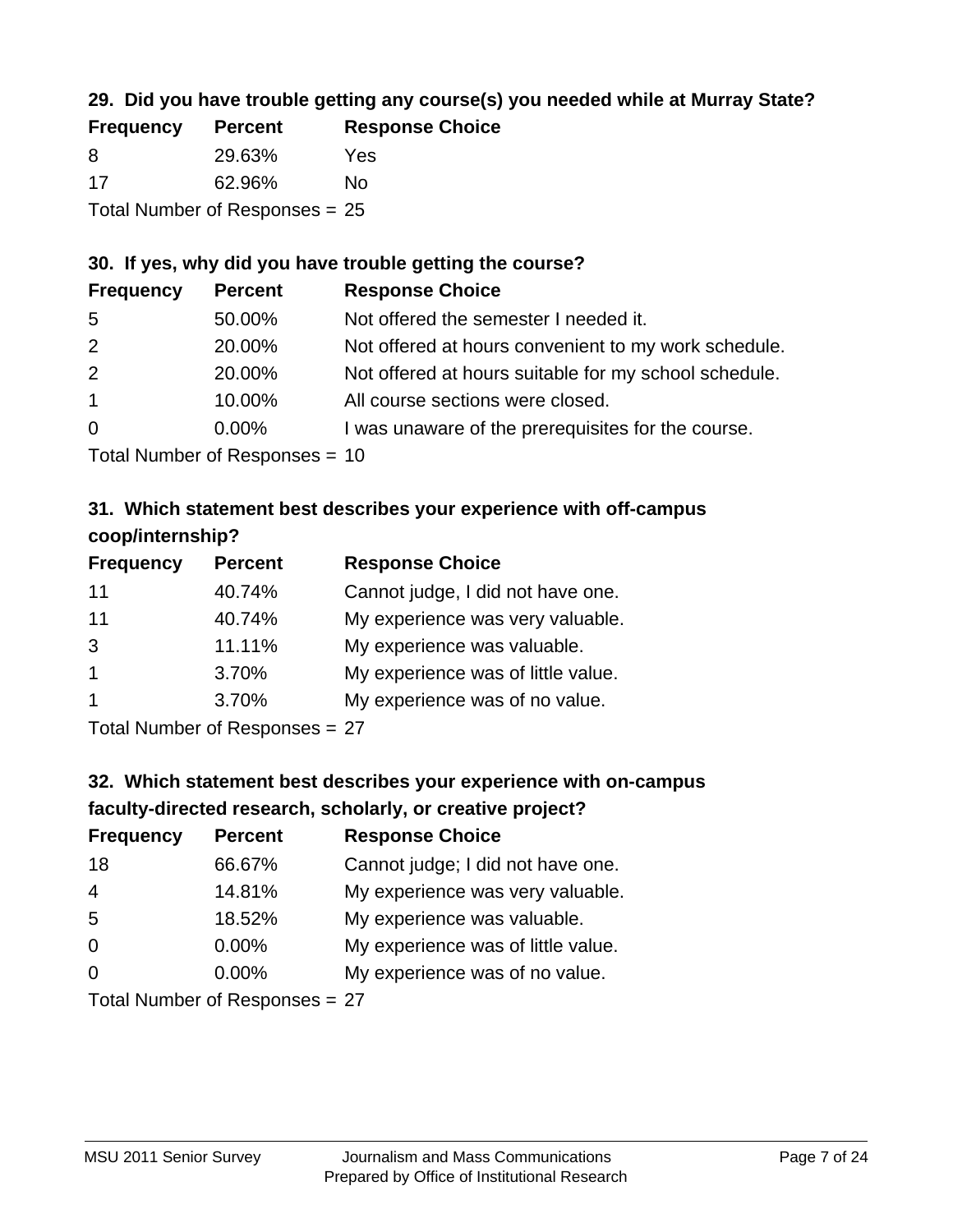## **29. Did you have trouble getting any course(s) you needed while at Murray State?**

| <b>Frequency</b>                 | <b>Percent</b> | <b>Response Choice</b> |  |  |
|----------------------------------|----------------|------------------------|--|--|
| -8                               | 29.63%         | Yes                    |  |  |
| -17                              | 62.96%         | Nο                     |  |  |
| Total Number of Responses = $25$ |                |                        |  |  |

## **30. If yes, why did you have trouble getting the course?**

| <b>Frequency</b> | <b>Percent</b> | <b>Response Choice</b>                                |
|------------------|----------------|-------------------------------------------------------|
| -5               | 50.00%         | Not offered the semester I needed it.                 |
| 2                | 20.00%         | Not offered at hours convenient to my work schedule.  |
| 2                | 20.00%         | Not offered at hours suitable for my school schedule. |
| $\mathbf{1}$     | 10.00%         | All course sections were closed.                      |
| $\overline{0}$   | $0.00\%$       | I was unaware of the prerequisites for the course.    |
|                  |                |                                                       |

Total Number of Responses = 10

## **31. Which statement best describes your experience with off-campus coop/internship?**

| <b>Frequency</b> | <b>Percent</b> | <b>Response Choice</b>             |
|------------------|----------------|------------------------------------|
| 11               | 40.74%         | Cannot judge, I did not have one.  |
| 11               | 40.74%         | My experience was very valuable.   |
| 3                | 11.11%         | My experience was valuable.        |
| 1                | 3.70%          | My experience was of little value. |
| 1                | 3.70%          | My experience was of no value.     |
|                  |                |                                    |

Total Number of Responses = 27

## **32. Which statement best describes your experience with on-campus faculty-directed research, scholarly, or creative project?**

| <b>Frequency</b> | <b>Percent</b>               | <b>Response Choice</b>             |
|------------------|------------------------------|------------------------------------|
| 18               | 66.67%                       | Cannot judge; I did not have one.  |
| $\overline{4}$   | 14.81%                       | My experience was very valuable.   |
| 5                | 18.52%                       | My experience was valuable.        |
| $\Omega$         | $0.00\%$                     | My experience was of little value. |
| $\Omega$         | $0.00\%$                     | My experience was of no value.     |
|                  | Total Number of Deepensee 27 |                                    |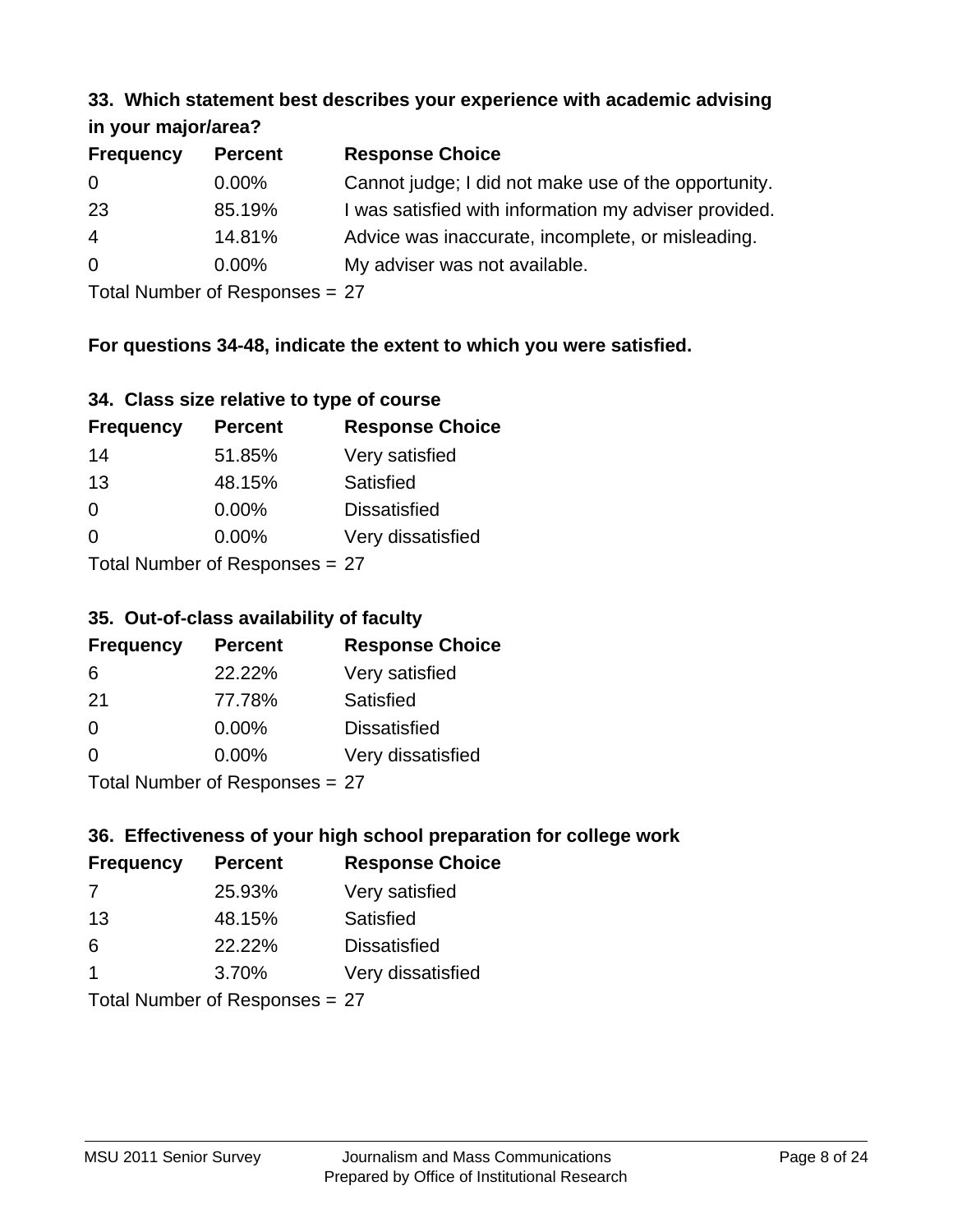#### **33. Which statement best describes your experience with academic advising in your major/area?**

|                  | $\mathbf{u}$ yvu $\mathbf{u}$ yvu $\mathbf{v}$ |                                                       |  |  |
|------------------|------------------------------------------------|-------------------------------------------------------|--|--|
| <b>Frequency</b> | <b>Percent</b>                                 | <b>Response Choice</b>                                |  |  |
| 0                | $0.00\%$                                       | Cannot judge; I did not make use of the opportunity.  |  |  |
| 23               | 85.19%                                         | I was satisfied with information my adviser provided. |  |  |
| $\overline{4}$   | 14.81%                                         | Advice was inaccurate, incomplete, or misleading.     |  |  |
| $\overline{0}$   | $0.00\%$                                       | My adviser was not available.                         |  |  |
|                  |                                                |                                                       |  |  |

Total Number of Responses = 27

## **For questions 34-48, indicate the extent to which you were satisfied.**

|  | 34. Class size relative to type of course |  |  |
|--|-------------------------------------------|--|--|
|  |                                           |  |  |

| <b>Frequency</b>               | <b>Percent</b> | <b>Response Choice</b> |  |
|--------------------------------|----------------|------------------------|--|
| 14                             | 51.85%         | Very satisfied         |  |
| 13                             | 48.15%         | Satisfied              |  |
| $\Omega$                       | $0.00\%$       | <b>Dissatisfied</b>    |  |
| $\Omega$                       | $0.00\%$       | Very dissatisfied      |  |
| Total Number of Responses = 27 |                |                        |  |

# **35. Out-of-class availability of faculty**

|                  | vol val ol oldoo avallasilliy ol lavally |                        |  |  |
|------------------|------------------------------------------|------------------------|--|--|
| <b>Frequency</b> | <b>Percent</b>                           | <b>Response Choice</b> |  |  |
| 6                | 22.22%                                   | Very satisfied         |  |  |
| 21               | 77.78%                                   | Satisfied              |  |  |
| $\Omega$         | $0.00\%$                                 | <b>Dissatisfied</b>    |  |  |
| $\Omega$         | 0.00%                                    | Very dissatisfied      |  |  |
|                  |                                          |                        |  |  |

Total Number of Responses = 27

## **36. Effectiveness of your high school preparation for college work**

| <b>Frequency</b>                | <b>Percent</b> | <b>Response Choice</b> |  |  |
|---------------------------------|----------------|------------------------|--|--|
| 7                               | 25.93%         | Very satisfied         |  |  |
| 13                              | 48.15%         | Satisfied              |  |  |
| 6                               | 22.22%         | <b>Dissatisfied</b>    |  |  |
| -1                              | 3.70%          | Very dissatisfied      |  |  |
| Total Number of Reconnect $-27$ |                |                        |  |  |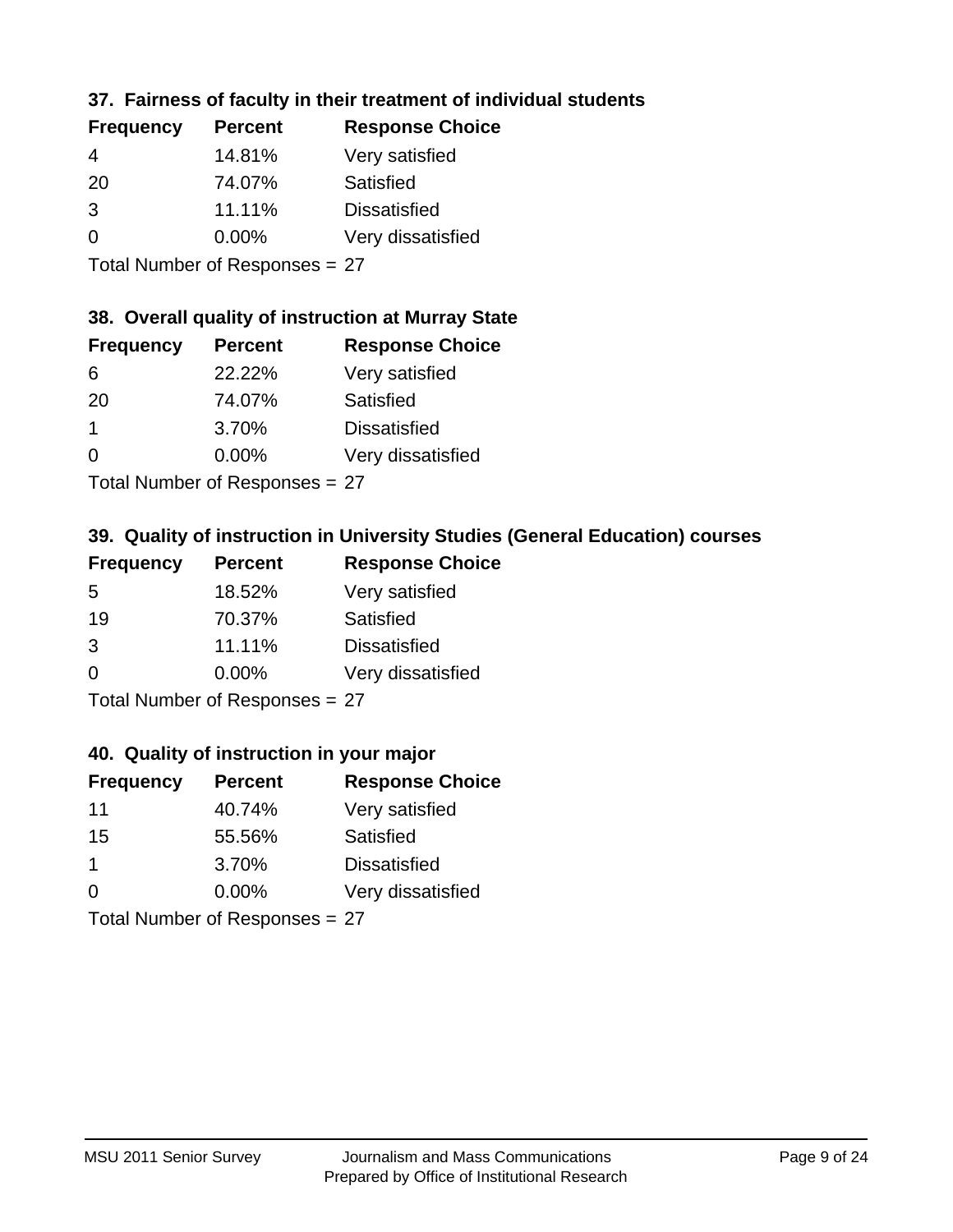## **37. Fairness of faculty in their treatment of individual students**

| <b>Frequency</b> | <b>Percent</b> | <b>Response Choice</b> |
|------------------|----------------|------------------------|
| 4                | 14.81%         | Very satisfied         |
| 20               | 74.07%         | Satisfied              |
| 3                | 11.11%         | <b>Dissatisfied</b>    |
| 0                | 0.00%          | Very dissatisfied      |
|                  |                |                        |

Total Number of Responses = 27

#### **38. Overall quality of instruction at Murray State**

| <b>Frequency</b> | <b>Percent</b> | <b>Response Choice</b> |
|------------------|----------------|------------------------|
| 6                | 22.22%         | Very satisfied         |
| 20               | 74.07%         | Satisfied              |
|                  | 3.70%          | <b>Dissatisfied</b>    |
| ∩                | 0.00%          | Very dissatisfied      |
|                  |                |                        |

Total Number of Responses = 27

## **39. Quality of instruction in University Studies (General Education) courses**

| <b>Frequency</b> | <b>Percent</b>             | <b>Response Choice</b> |
|------------------|----------------------------|------------------------|
| 5                | 18.52%                     | Very satisfied         |
| 19               | 70.37%                     | Satisfied              |
| 3                | 11.11%                     | <b>Dissatisfied</b>    |
| $\Omega$         | 0.00%                      | Very dissatisfied      |
|                  | Total Number of Desperance |                        |

Total Number of Responses = 27

#### **40. Quality of instruction in your major**

| <b>Frequency</b> | <b>Percent</b>             | <b>Response Choice</b> |
|------------------|----------------------------|------------------------|
| 11               | 40.74%                     | Very satisfied         |
| 15               | 55.56%                     | Satisfied              |
| 1                | 3.70%                      | <b>Dissatisfied</b>    |
| $\Omega$         | 0.00%                      | Very dissatisfied      |
|                  | Tetal Number of Desperance |                        |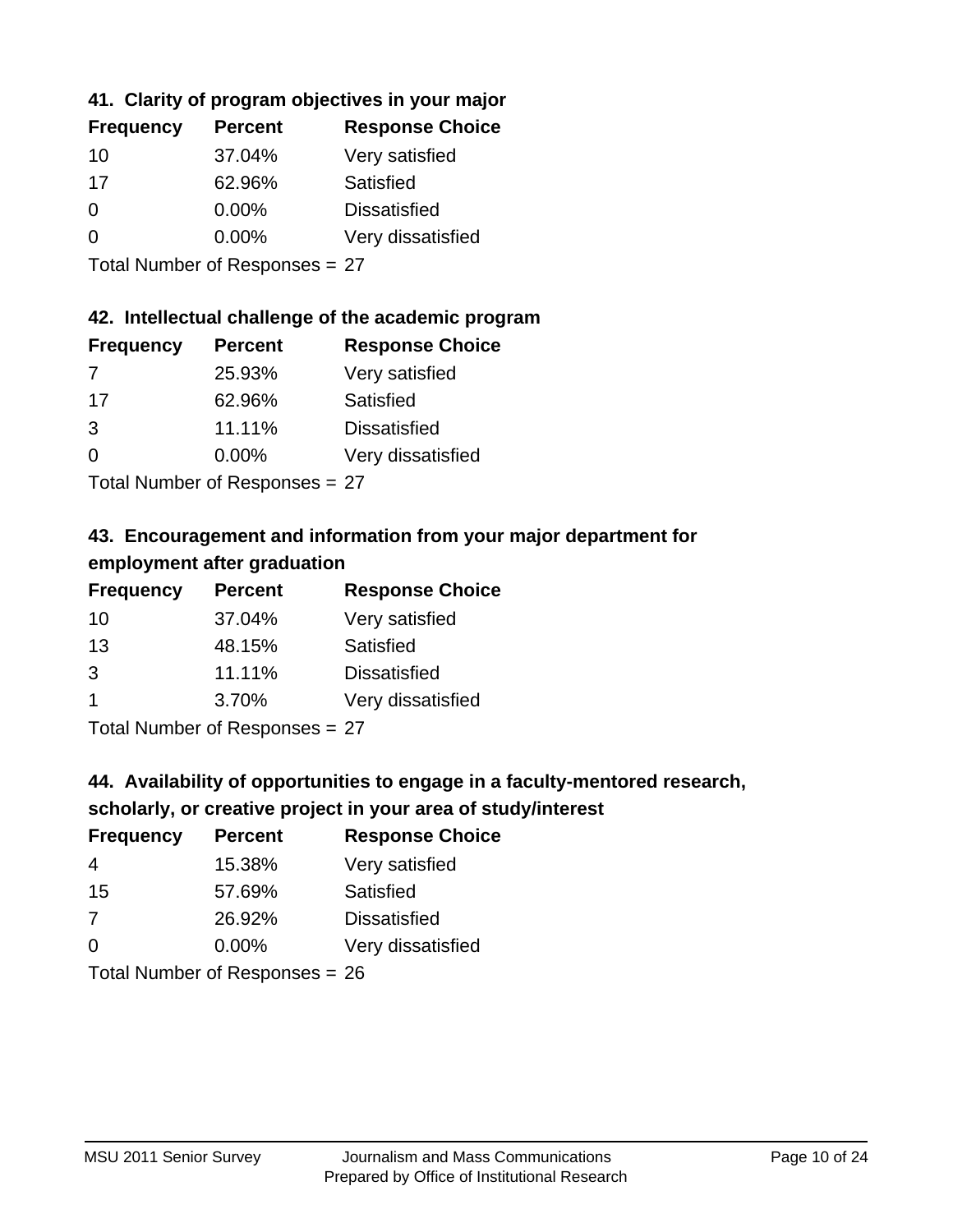## **41. Clarity of program objectives in your major**

| <b>Frequency</b> | <b>Percent</b> | <b>Response Choice</b> |
|------------------|----------------|------------------------|
| 10               | 37.04%         | Very satisfied         |
| 17               | 62.96%         | Satisfied              |
| $\Omega$         | $0.00\%$       | <b>Dissatisfied</b>    |
| ∩                | $0.00\%$       | Very dissatisfied      |
|                  |                |                        |

Total Number of Responses = 27

#### **42. Intellectual challenge of the academic program**

| <b>Frequency</b> | <b>Percent</b> | <b>Response Choice</b> |
|------------------|----------------|------------------------|
| 7                | 25.93%         | Very satisfied         |
| 17               | 62.96%         | Satisfied              |
| 3                | 11.11%         | <b>Dissatisfied</b>    |
| $\Omega$         | 0.00%          | Very dissatisfied      |
|                  |                |                        |

Total Number of Responses = 27

## **43. Encouragement and information from your major department for employment after graduation**

| <b>Frequency</b>     | <b>Percent</b> | <b>Response Choice</b> |
|----------------------|----------------|------------------------|
| 10                   | 37.04%         | Very satisfied         |
| 13                   | 48.15%         | Satisfied              |
| 3                    | 11.11%         | <b>Dissatisfied</b>    |
| $\blacktriangleleft$ | 3.70%          | Very dissatisfied      |
|                      |                |                        |

Total Number of Responses = 27

## **44. Availability of opportunities to engage in a faculty-mentored research,**

## **scholarly, or creative project in your area of study/interest**

| <b>Frequency</b> | <b>Percent</b> | <b>Response Choice</b> |
|------------------|----------------|------------------------|
| 4                | 15.38%         | Very satisfied         |
| 15               | 57.69%         | Satisfied              |
| 7                | 26.92%         | <b>Dissatisfied</b>    |
| $\Omega$         | 0.00%          | Very dissatisfied      |
|                  |                |                        |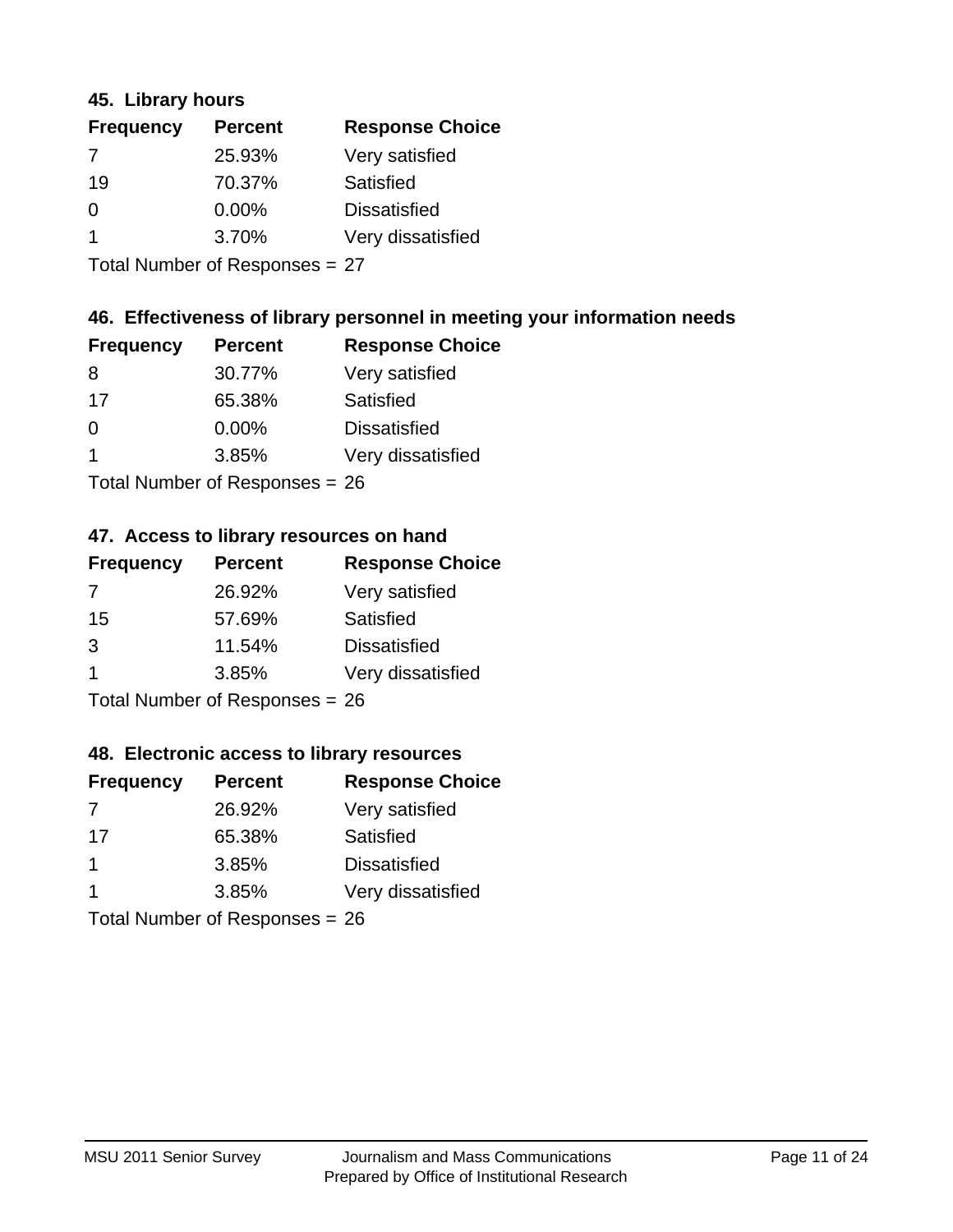#### **45. Library hours**

| <b>Frequency</b> | <b>Percent</b> | <b>Response Choice</b> |
|------------------|----------------|------------------------|
| 7                | 25.93%         | Very satisfied         |
| 19               | 70.37%         | Satisfied              |
| $\Omega$         | 0.00%          | <b>Dissatisfied</b>    |
| -1               | 3.70%          | Very dissatisfied      |
|                  |                |                        |

Total Number of Responses = 27

#### **46. Effectiveness of library personnel in meeting your information needs**

| <b>Frequency</b> | <b>Percent</b> | <b>Response Choice</b> |
|------------------|----------------|------------------------|
| 8                | 30.77%         | Very satisfied         |
| 17               | 65.38%         | Satisfied              |
| $\Omega$         | 0.00%          | <b>Dissatisfied</b>    |
|                  | 3.85%          | Very dissatisfied      |
|                  |                |                        |

Total Number of Responses = 26

#### **47. Access to library resources on hand**

| <b>Frequency</b>               | <b>Percent</b> | <b>Response Choice</b> |
|--------------------------------|----------------|------------------------|
| 7                              | 26.92%         | Very satisfied         |
| 15                             | 57.69%         | Satisfied              |
| 3                              | 11.54%         | <b>Dissatisfied</b>    |
| -1                             | 3.85%          | Very dissatisfied      |
| Total Number of Responses = 26 |                |                        |

## **48. Electronic access to library resources**

| <b>Frequency</b> | <b>Percent</b>                 | <b>Response Choice</b> |
|------------------|--------------------------------|------------------------|
| 7                | 26.92%                         | Very satisfied         |
| 17               | 65.38%                         | Satisfied              |
| $\overline{1}$   | 3.85%                          | <b>Dissatisfied</b>    |
| $\mathbf 1$      | 3.85%                          | Very dissatisfied      |
|                  | Total Number of Responses = 26 |                        |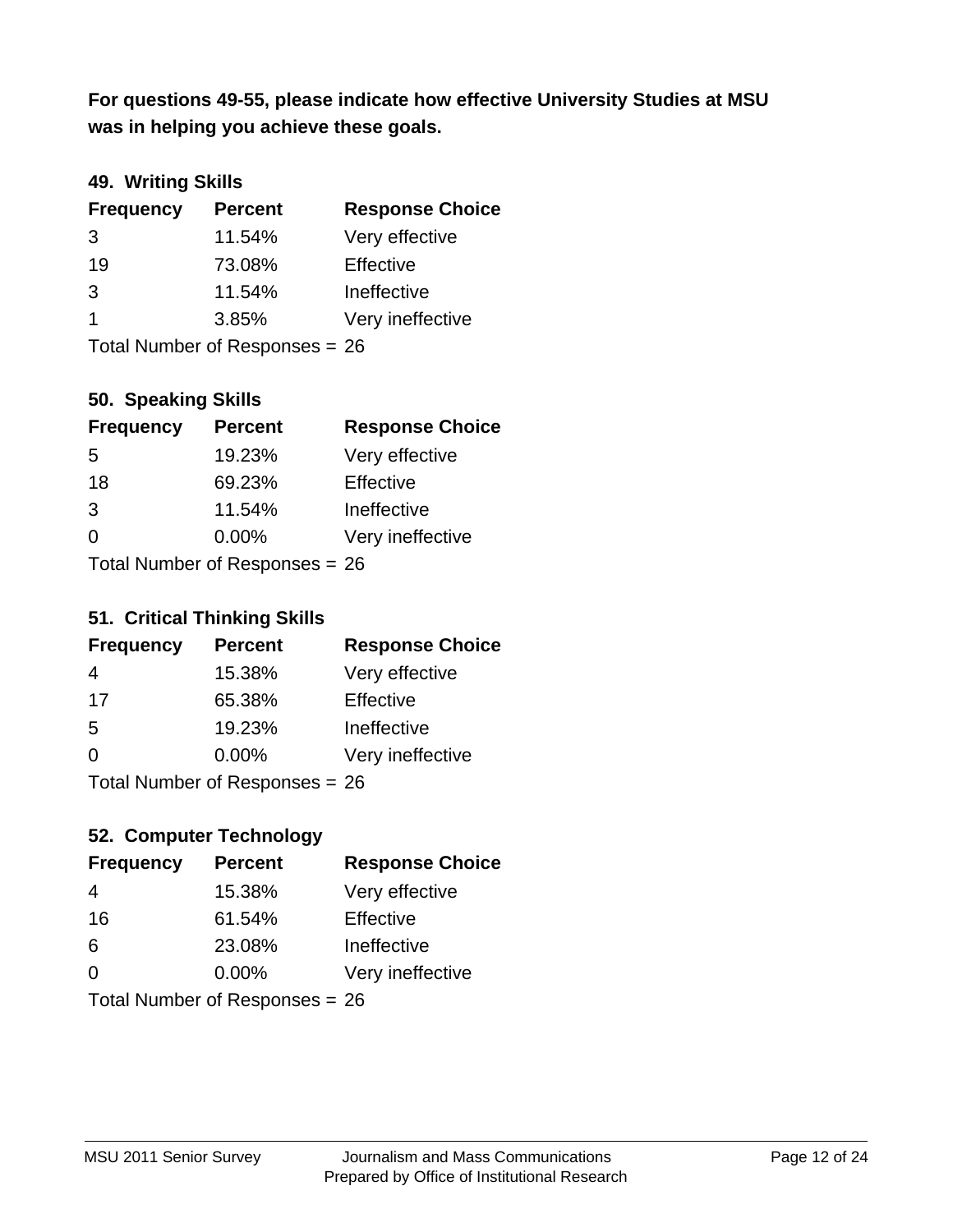**was in helping you achieve these goals. For questions 49-55, please indicate how effective University Studies at MSU** 

## **49. Writing Skills**

| <b>Frequency</b> | <b>Percent</b>                 | <b>Response Choice</b> |
|------------------|--------------------------------|------------------------|
| 3                | 11.54%                         | Very effective         |
| 19               | 73.08%                         | Effective              |
| 3                | 11.54%                         | Ineffective            |
| $\overline{1}$   | 3.85%                          | Very ineffective       |
|                  | Total Number of Responses = 26 |                        |

#### **50. Speaking Skills**

| <b>Frequency</b> | <b>Percent</b>                   | <b>Response Choice</b> |
|------------------|----------------------------------|------------------------|
| 5                | 19.23%                           | Very effective         |
| 18               | 69.23%                           | Effective              |
| 3                | 11.54%                           | Ineffective            |
| $\Omega$         | $0.00\%$                         | Very ineffective       |
|                  | Total Number of Responses $= 26$ |                        |

#### **51. Critical Thinking Skills**

| <b>Frequency</b> | <b>Percent</b>                  | <b>Response Choice</b> |
|------------------|---------------------------------|------------------------|
| 4                | 15.38%                          | Very effective         |
| 17               | 65.38%                          | Effective              |
| .5               | 19.23%                          | Ineffective            |
| $\Omega$         | $0.00\%$                        | Very ineffective       |
|                  | $Total Number of Denonose = 26$ |                        |

Total Number of Responses = 26

## **52. Computer Technology**

| <b>Frequency</b>               | <b>Percent</b> | <b>Response Choice</b> |
|--------------------------------|----------------|------------------------|
| 4                              | 15.38%         | Very effective         |
| 16                             | 61.54%         | Effective              |
| 6                              | 23.08%         | Ineffective            |
| $\Omega$                       | $0.00\%$       | Very ineffective       |
| Total Number of Responses = 26 |                |                        |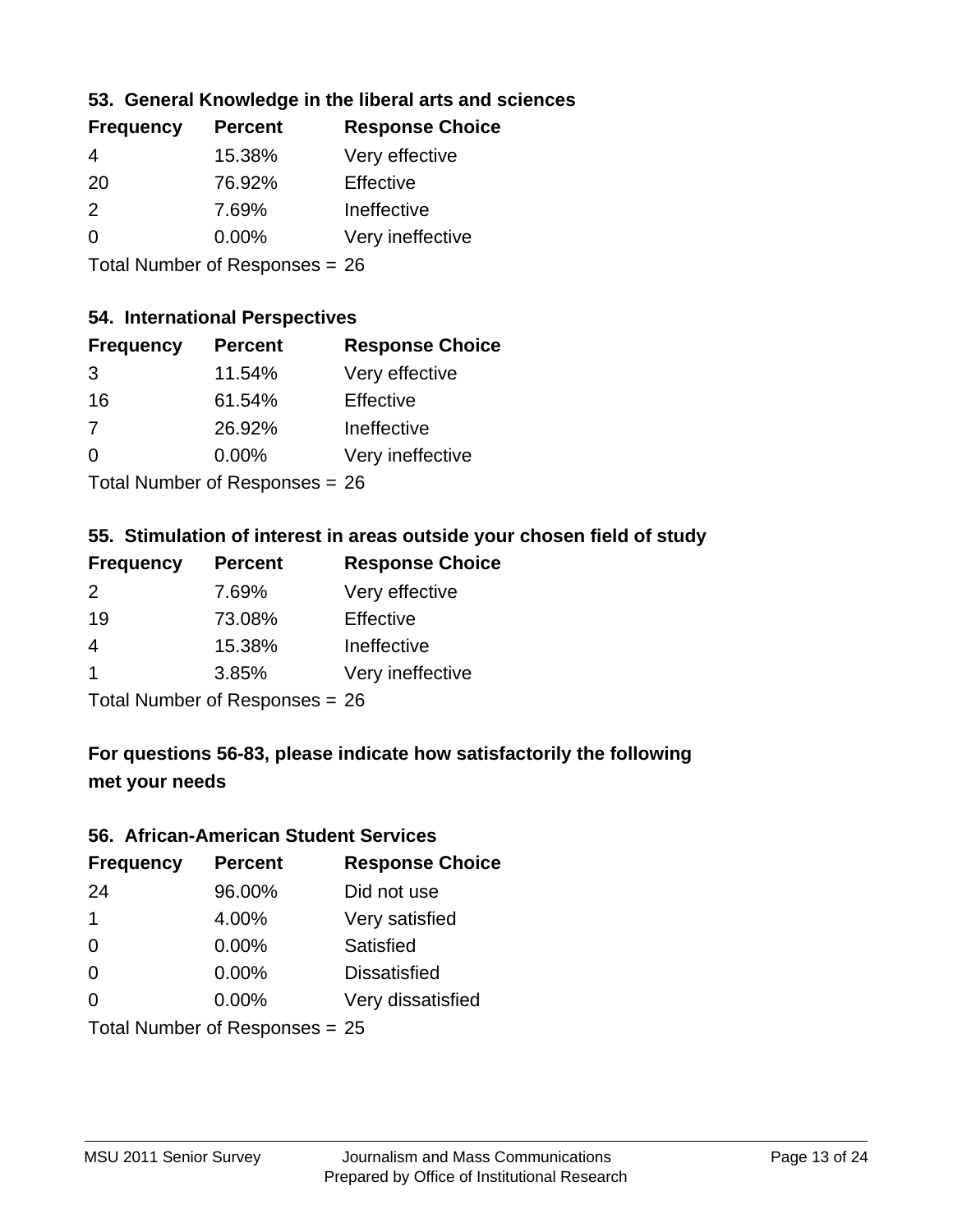## **53. General Knowledge in the liberal arts and sciences**

| <b>Frequency</b> | <b>Percent</b> | <b>Response Choice</b> |
|------------------|----------------|------------------------|
| 4                | 15.38%         | Very effective         |
| 20               | 76.92%         | Effective              |
| $\mathcal{P}$    | 7.69%          | Ineffective            |
| $\Omega$         | 0.00%          | Very ineffective       |
|                  |                |                        |

Total Number of Responses = 26

## **54. International Perspectives**

| <b>Frequency</b> | <b>Percent</b>             | <b>Response Choice</b> |
|------------------|----------------------------|------------------------|
| 3                | 11.54%                     | Very effective         |
| 16               | 61.54%                     | Effective              |
| 7                | 26.92%                     | Ineffective            |
| $\Omega$         | 0.00%                      | Very ineffective       |
|                  | Total Number of Desperance |                        |

Total Number of Responses = 26

## **55. Stimulation of interest in areas outside your chosen field of study**

| <b>Frequency</b> | <b>Percent</b>                 | <b>Response Choice</b> |
|------------------|--------------------------------|------------------------|
| $\mathcal{P}$    | 7.69%                          | Very effective         |
| 19               | 73.08%                         | Effective              |
| 4                | 15.38%                         | Ineffective            |
| -1               | 3.85%                          | Very ineffective       |
|                  | Total Number of Responses = 26 |                        |

## **For questions 56-83, please indicate how satisfactorily the following met your needs**

#### **56. African-American Student Services**

| <b>Frequency</b> | <b>Percent</b>                   | <b>Response Choice</b> |
|------------------|----------------------------------|------------------------|
| 24               | 96.00%                           | Did not use            |
| $\mathbf 1$      | 4.00%                            | Very satisfied         |
| $\Omega$         | 0.00%                            | Satisfied              |
| 0                | $0.00\%$                         | <b>Dissatisfied</b>    |
| $\Omega$         | 0.00%                            | Very dissatisfied      |
|                  | Total Number of Responses = $25$ |                        |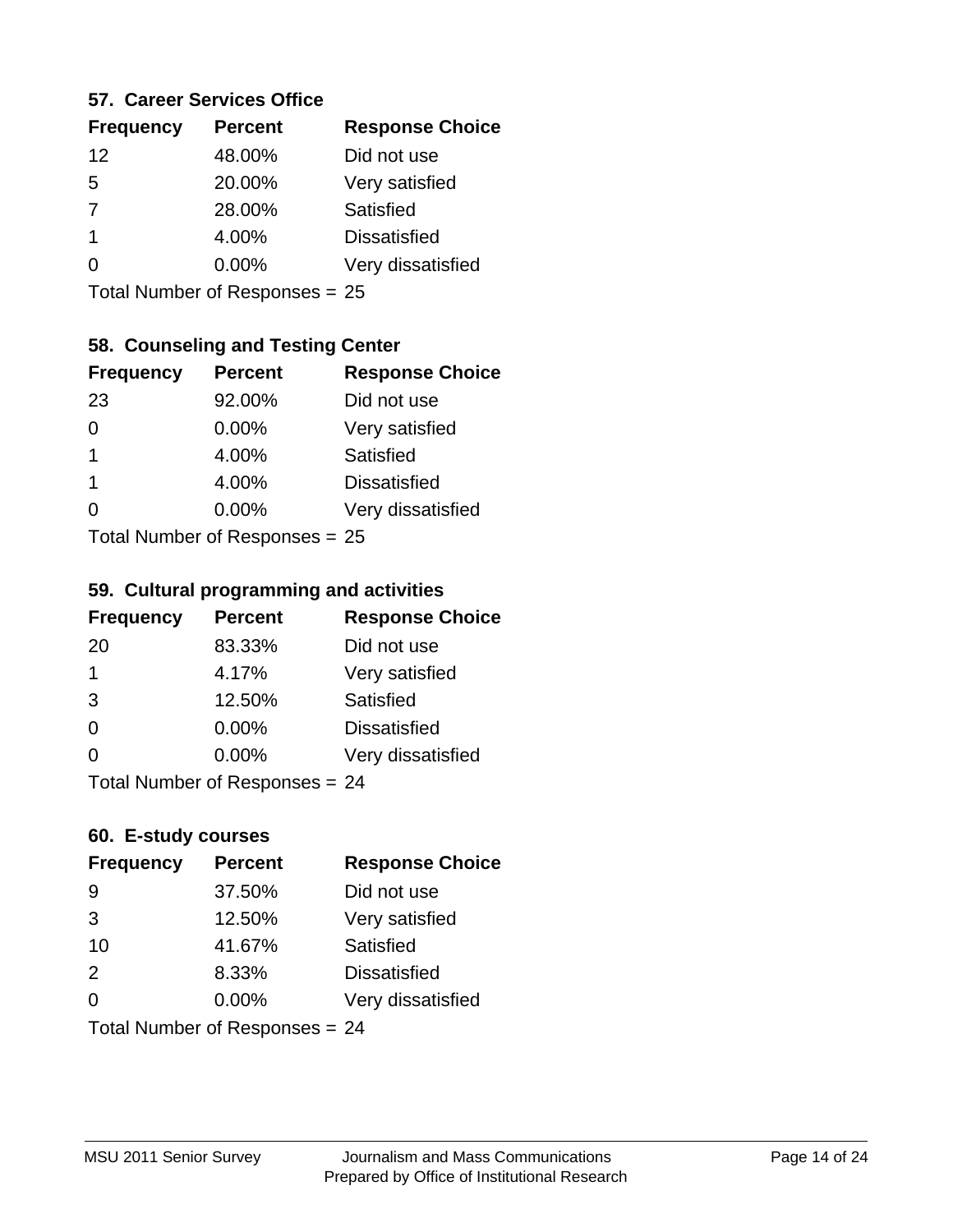#### **57. Career Services Office**

| <b>Frequency</b> | <b>Percent</b> | <b>Response Choice</b> |
|------------------|----------------|------------------------|
| 12               | 48.00%         | Did not use            |
| 5                | 20.00%         | Very satisfied         |
| $\overline{7}$   | 28.00%         | Satisfied              |
| 1                | 4.00%          | <b>Dissatisfied</b>    |
|                  | $0.00\%$       | Very dissatisfied      |
|                  |                |                        |

Total Number of Responses = 25

## **58. Counseling and Testing Center**

| <b>Frequency</b>          | <b>Percent</b> | <b>Response Choice</b> |
|---------------------------|----------------|------------------------|
| 23                        | 92.00%         | Did not use            |
| 0                         | 0.00%          | Very satisfied         |
| 1                         | 4.00%          | <b>Satisfied</b>       |
| 1                         | 4.00%          | <b>Dissatisfied</b>    |
| ∩                         | 0.00%          | Very dissatisfied      |
| Total Number of Desponses |                |                        |

Total Number of Responses = 25

#### **59. Cultural programming and activities**

| <b>Frequency</b> | <b>Percent</b>                 | <b>Response Choice</b> |
|------------------|--------------------------------|------------------------|
| 20               | 83.33%                         | Did not use            |
| $\mathbf 1$      | 4.17%                          | Very satisfied         |
| 3                | 12.50%                         | Satisfied              |
| $\Omega$         | $0.00\%$                       | <b>Dissatisfied</b>    |
| $\Omega$         | $0.00\%$                       | Very dissatisfied      |
|                  | Total Number of Responses = 24 |                        |

## **60. E-study courses**

| <b>Frequency</b> | <b>Percent</b>                 | <b>Response Choice</b> |
|------------------|--------------------------------|------------------------|
| 9                | 37.50%                         | Did not use            |
| 3                | 12.50%                         | Very satisfied         |
| 10               | 41.67%                         | Satisfied              |
| 2                | 8.33%                          | <b>Dissatisfied</b>    |
| $\Omega$         | 0.00%                          | Very dissatisfied      |
|                  | Total Number of Responses = 24 |                        |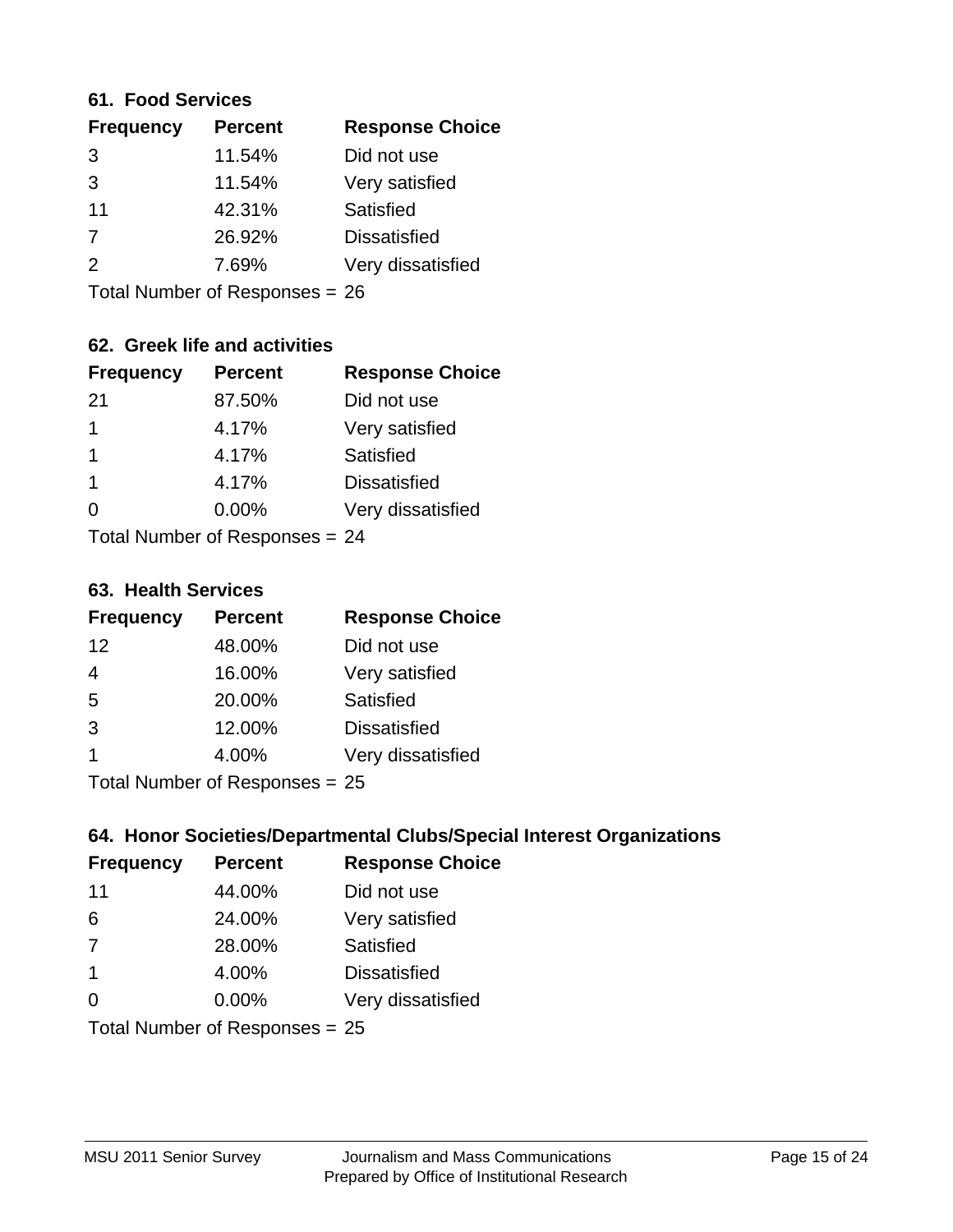#### **61. Food Services**

| <b>Frequency</b> | <b>Percent</b> | <b>Response Choice</b> |
|------------------|----------------|------------------------|
| 3                | 11.54%         | Did not use            |
| 3                | 11.54%         | Very satisfied         |
| 11               | 42.31%         | Satisfied              |
| 7                | 26.92%         | <b>Dissatisfied</b>    |
| $\mathcal{P}$    | 7.69%          | Very dissatisfied      |
|                  |                |                        |

Total Number of Responses = 26

## **62. Greek life and activities**

| <b>Frequency</b> | <b>Percent</b>                 | <b>Response Choice</b> |
|------------------|--------------------------------|------------------------|
| -21              | 87.50%                         | Did not use            |
| 1                | 4.17%                          | Very satisfied         |
| 1                | 4.17%                          | <b>Satisfied</b>       |
| 1                | 4.17%                          | <b>Dissatisfied</b>    |
| 0                | 0.00%                          | Very dissatisfied      |
|                  | Total Number of Responses = 24 |                        |

**63. Health Services**

| <b>Frequency</b> | <b>Percent</b>            | <b>Response Choice</b> |
|------------------|---------------------------|------------------------|
| 12               | 48.00%                    | Did not use            |
| 4                | 16.00%                    | Very satisfied         |
| 5                | 20.00%                    | <b>Satisfied</b>       |
| 3                | 12.00%                    | <b>Dissatisfied</b>    |
|                  | 4.00%                     | Very dissatisfied      |
|                  | Total Number of Deepersee |                        |

Total Number of Responses = 25

## **64. Honor Societies/Departmental Clubs/Special Interest Organizations**

| <b>Frequency</b> | <b>Percent</b>                 | <b>Response Choice</b> |
|------------------|--------------------------------|------------------------|
| 11               | 44.00%                         | Did not use            |
| 6                | 24.00%                         | Very satisfied         |
| 7                | 28.00%                         | <b>Satisfied</b>       |
| $\overline{1}$   | 4.00%                          | <b>Dissatisfied</b>    |
| $\Omega$         | 0.00%                          | Very dissatisfied      |
|                  | Total Number of Responses = 25 |                        |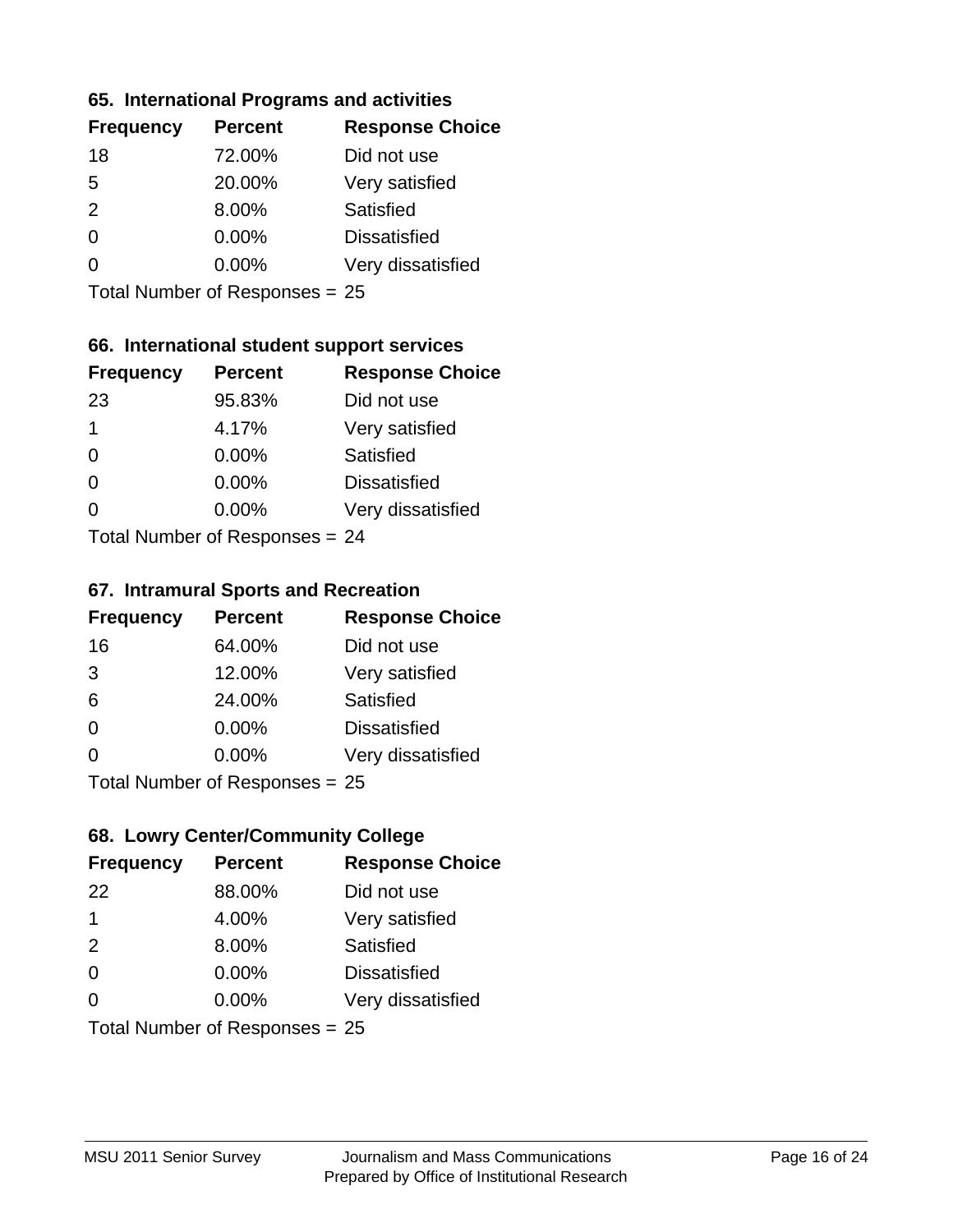#### **65. International Programs and activities**

| <b>Frequency</b> | <b>Percent</b> | <b>Response Choice</b> |
|------------------|----------------|------------------------|
| 18               | 72.00%         | Did not use            |
| 5                | 20.00%         | Very satisfied         |
| $\mathcal{P}$    | 8.00%          | <b>Satisfied</b>       |
| 0                | $0.00\%$       | <b>Dissatisfied</b>    |
|                  | $0.00\%$       | Very dissatisfied      |
|                  |                |                        |

Total Number of Responses = 25

## **66. International student support services**

| <b>Frequency</b> | <b>Percent</b>            | <b>Response Choice</b> |
|------------------|---------------------------|------------------------|
| 23               | 95.83%                    | Did not use            |
| 1                | 4.17%                     | Very satisfied         |
| $\Omega$         | 0.00%                     | <b>Satisfied</b>       |
| $\Omega$         | 0.00%                     | <b>Dissatisfied</b>    |
| 0                | 0.00%                     | Very dissatisfied      |
|                  | Total Number of Deepersee |                        |

Total Number of Responses = 24

#### **67. Intramural Sports and Recreation**

| <b>Frequency</b> | <b>Percent</b>                 | <b>Response Choice</b> |
|------------------|--------------------------------|------------------------|
| 16               | 64.00%                         | Did not use            |
| 3                | 12.00%                         | Very satisfied         |
| 6                | 24.00%                         | Satisfied              |
| $\Omega$         | $0.00\%$                       | <b>Dissatisfied</b>    |
| $\Omega$         | $0.00\%$                       | Very dissatisfied      |
|                  | Total Number of Poenances - 25 |                        |

Total Number of Responses = 25

## **68. Lowry Center/Community College**

| <b>Frequency</b> | <b>Percent</b>                   | <b>Response Choice</b> |
|------------------|----------------------------------|------------------------|
| 22               | 88.00%                           | Did not use            |
| 1                | 4.00%                            | Very satisfied         |
| 2                | 8.00%                            | Satisfied              |
| $\Omega$         | 0.00%                            | <b>Dissatisfied</b>    |
| $\Omega$         | $0.00\%$                         | Very dissatisfied      |
|                  | Total Number of Responses $= 25$ |                        |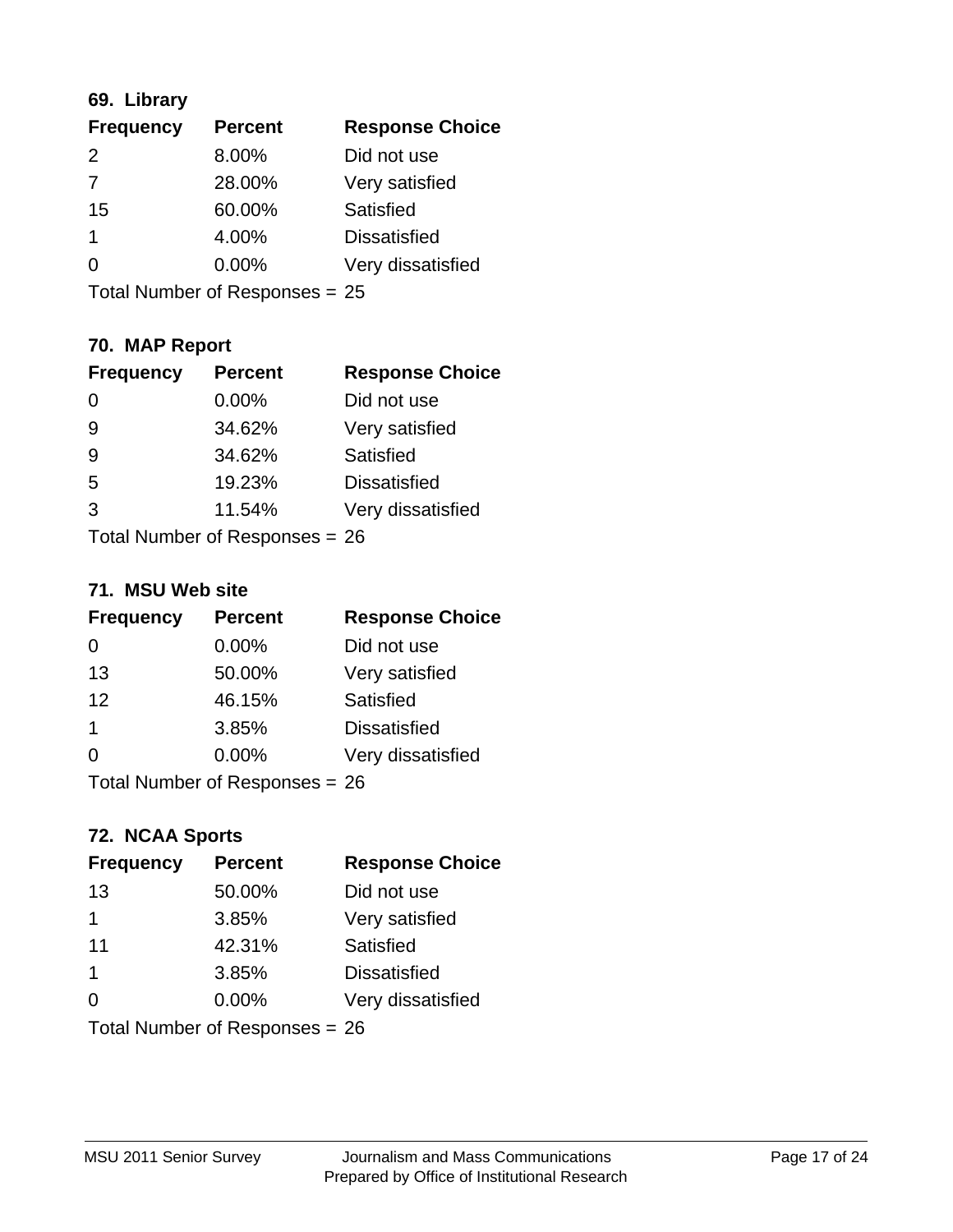## **69. Library**

| <b>Frequency</b> | <b>Percent</b> | <b>Response Choice</b> |
|------------------|----------------|------------------------|
| 2                | 8.00%          | Did not use            |
| 7                | 28.00%         | Very satisfied         |
| 15               | 60.00%         | Satisfied              |
| 1                | 4.00%          | <b>Dissatisfied</b>    |
| $\Omega$         | 0.00%          | Very dissatisfied      |
|                  |                |                        |

Total Number of Responses = 25

## **70. MAP Report**

| <b>Frequency</b> | <b>Percent</b>                 | <b>Response Choice</b> |
|------------------|--------------------------------|------------------------|
| 0                | 0.00%                          | Did not use            |
| 9                | 34.62%                         | Very satisfied         |
| 9                | 34.62%                         | Satisfied              |
| 5                | 19.23%                         | <b>Dissatisfied</b>    |
| 3                | 11.54%                         | Very dissatisfied      |
|                  | Total Number of Responses = 26 |                        |

#### **71. MSU Web site**

| <b>Frequency</b> | <b>Percent</b>                 | <b>Response Choice</b> |
|------------------|--------------------------------|------------------------|
| 0                | $0.00\%$                       | Did not use            |
| 13               | 50.00%                         | Very satisfied         |
| 12               | 46.15%                         | Satisfied              |
| 1                | 3.85%                          | <b>Dissatisfied</b>    |
| ∩                | $0.00\%$                       | Very dissatisfied      |
|                  | Total Number of Responses = 26 |                        |

## **72. NCAA Sports**

| <b>Frequency</b> | <b>Percent</b>                   | <b>Response Choice</b> |
|------------------|----------------------------------|------------------------|
| 13               | 50.00%                           | Did not use            |
| 1                | 3.85%                            | Very satisfied         |
| 11               | 42.31%                           | Satisfied              |
| $\mathbf 1$      | 3.85%                            | <b>Dissatisfied</b>    |
| $\Omega$         | $0.00\%$                         | Very dissatisfied      |
|                  | Total Number of Responses = $26$ |                        |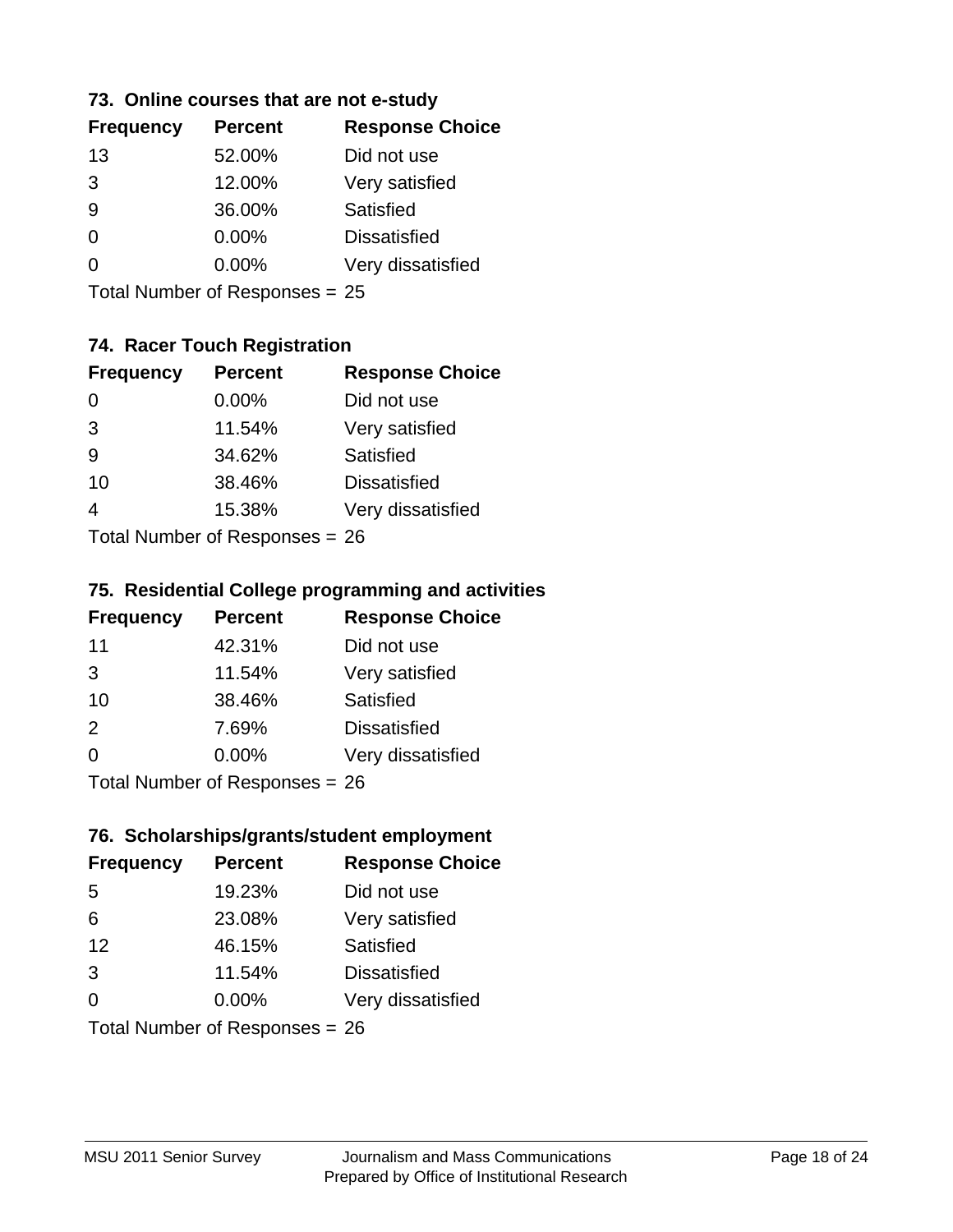## **73. Online courses that are not e-study**

| <b>Frequency</b> | <b>Percent</b> | <b>Response Choice</b> |
|------------------|----------------|------------------------|
| 13               | 52.00%         | Did not use            |
| 3                | 12.00%         | Very satisfied         |
|                  | 36.00%         | Satisfied              |
|                  | $0.00\%$       | <b>Dissatisfied</b>    |
|                  | $0.00\%$       | Very dissatisfied      |
|                  |                |                        |

Total Number of Responses = 25

## **74. Racer Touch Registration**

| <b>Frequency</b>                | <b>Percent</b> | <b>Response Choice</b> |
|---------------------------------|----------------|------------------------|
| 0                               | $0.00\%$       | Did not use            |
| 3                               | 11.54%         | Very satisfied         |
| 9                               | 34.62%         | Satisfied              |
| 10                              | 38.46%         | <b>Dissatisfied</b>    |
| 4                               | 15.38%         | Very dissatisfied      |
| $Total Number of Denonose = 26$ |                |                        |

I otal Number of Responses = 26

#### **75. Residential College programming and activities**

| <b>Frequency</b>          | <b>Percent</b> | <b>Response Choice</b> |
|---------------------------|----------------|------------------------|
| 11                        | 42.31%         | Did not use            |
| 3                         | 11.54%         | Very satisfied         |
| 10                        | 38.46%         | <b>Satisfied</b>       |
| 2                         | 7.69%          | <b>Dissatisfied</b>    |
| $\Omega$                  | 0.00%          | Very dissatisfied      |
| Total Number of DoEROR 0. |                |                        |

Total Number of Responses = 26

#### **76. Scholarships/grants/student employment**

| <b>Frequency</b>               | <b>Percent</b> | <b>Response Choice</b> |
|--------------------------------|----------------|------------------------|
| -5                             | 19.23%         | Did not use            |
| 6                              | 23.08%         | Very satisfied         |
| 12                             | 46.15%         | Satisfied              |
| 3                              | 11.54%         | <b>Dissatisfied</b>    |
| $\Omega$                       | 0.00%          | Very dissatisfied      |
| Total Number of Responses = 26 |                |                        |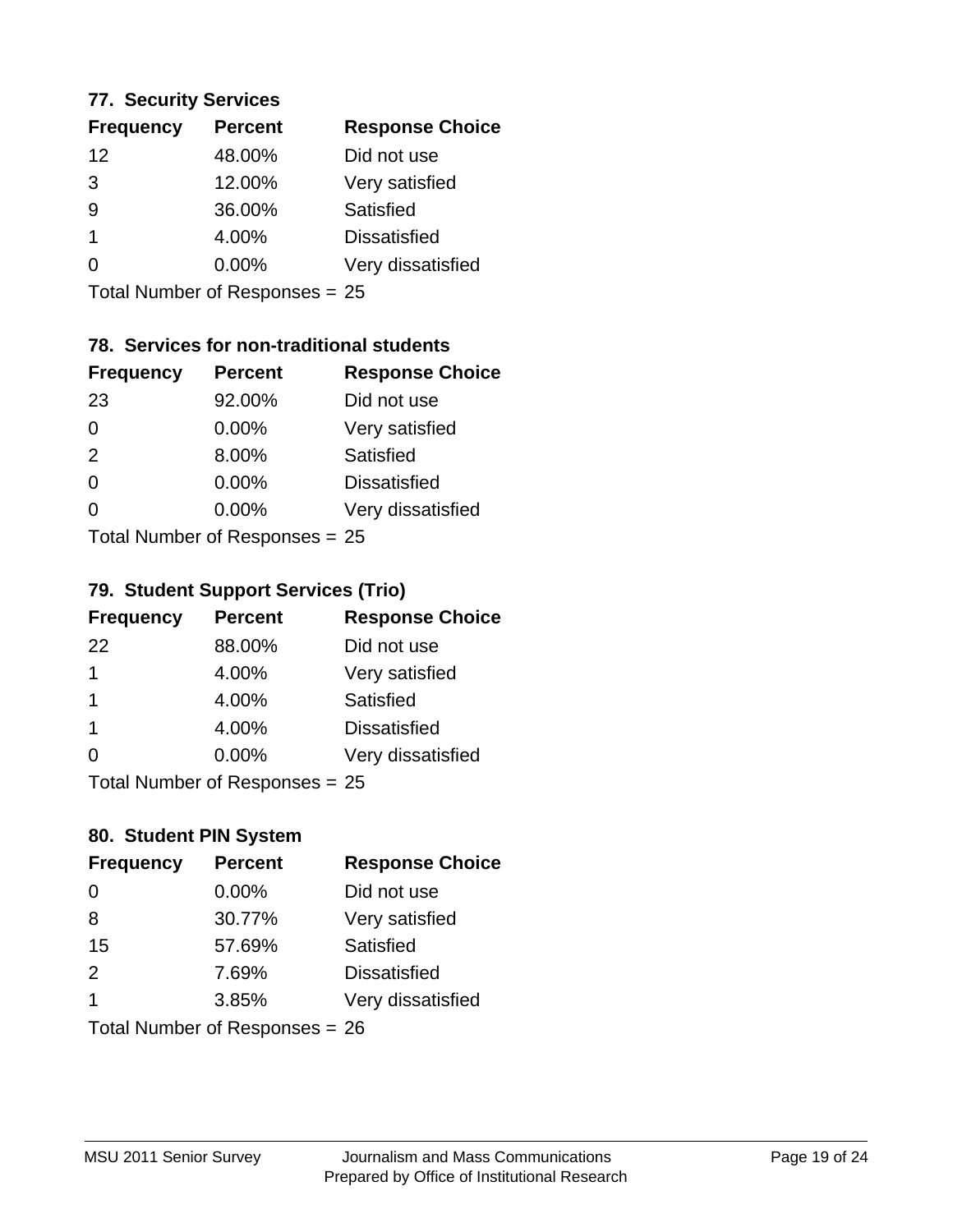#### **77. Security Services**

| <b>Frequency</b> | <b>Percent</b> | <b>Response Choice</b> |
|------------------|----------------|------------------------|
| 12               | 48.00%         | Did not use            |
| 3                | 12.00%         | Very satisfied         |
| 9                | 36.00%         | Satisfied              |
|                  | 4.00%          | <b>Dissatisfied</b>    |
|                  | $0.00\%$       | Very dissatisfied      |
|                  |                |                        |

Total Number of Responses = 25

## **78. Services for non-traditional students**

| <b>Frequency</b>          | <b>Percent</b> | <b>Response Choice</b> |
|---------------------------|----------------|------------------------|
| 23                        | 92.00%         | Did not use            |
| $\Omega$                  | 0.00%          | Very satisfied         |
| 2                         | 8.00%          | <b>Satisfied</b>       |
| $\Omega$                  | 0.00%          | <b>Dissatisfied</b>    |
| $\Omega$                  | 0.00%          | Very dissatisfied      |
| Total Number of Desponses |                |                        |

Total Number of Responses = 25

## **79. Student Support Services (Trio)**

| <b>Frequency</b>                | <b>Percent</b> | <b>Response Choice</b> |
|---------------------------------|----------------|------------------------|
| 22                              | 88.00%         | Did not use            |
| 1                               | 4.00%          | Very satisfied         |
| -1                              | 4.00%          | Satisfied              |
| -1                              | 4.00%          | <b>Dissatisfied</b>    |
| $\Omega$                        | 0.00%          | Very dissatisfied      |
| $Total Number of Denonose = 25$ |                |                        |

I otal Number of Responses = 25

## **80. Student PIN System**

| <b>Frequency</b>               | <b>Percent</b> | <b>Response Choice</b> |
|--------------------------------|----------------|------------------------|
| $\Omega$                       | 0.00%          | Did not use            |
| 8                              | 30.77%         | Very satisfied         |
| 15                             | 57.69%         | Satisfied              |
| 2                              | 7.69%          | <b>Dissatisfied</b>    |
| 1                              | 3.85%          | Very dissatisfied      |
| Total Number of Responses = 26 |                |                        |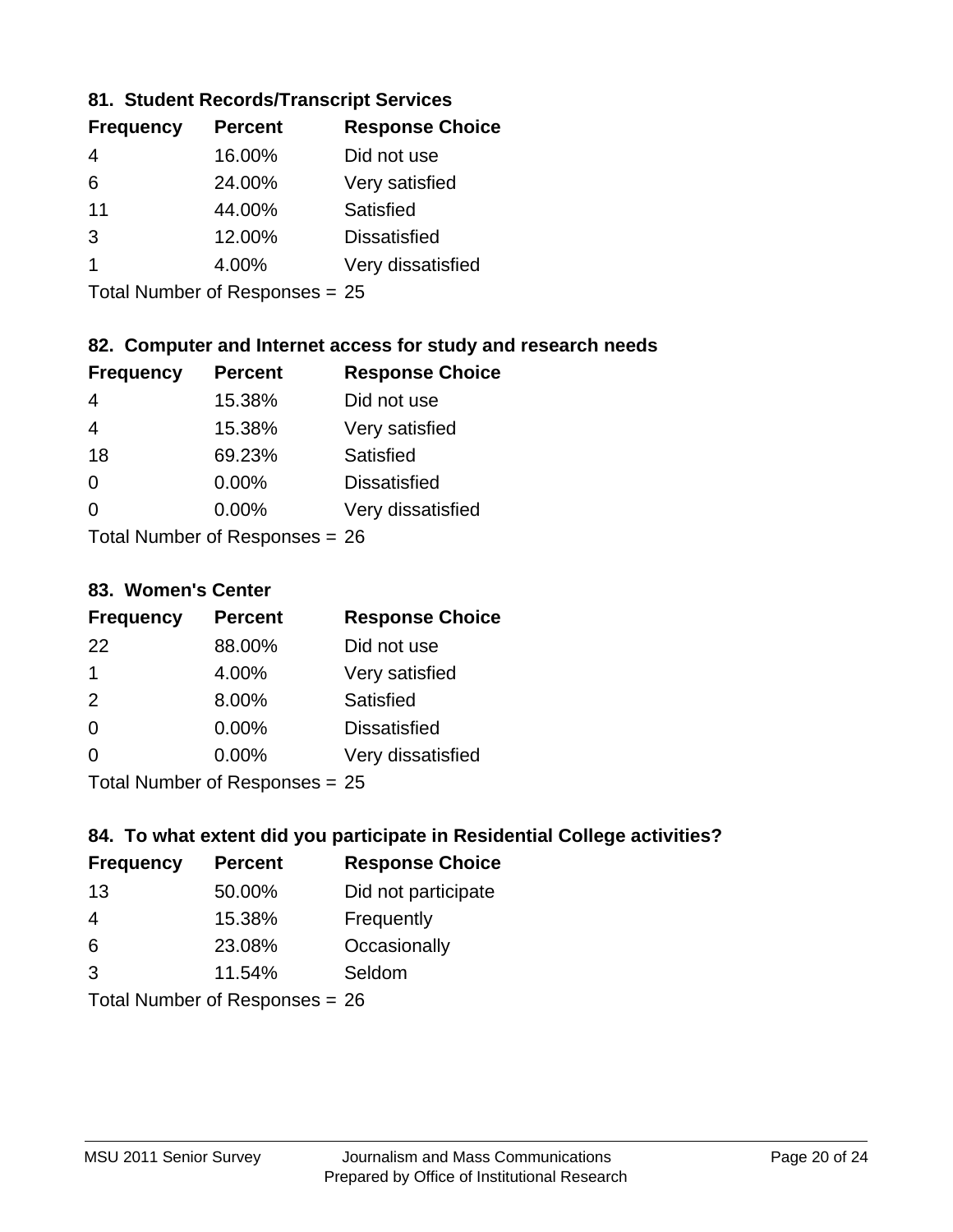## **81. Student Records/Transcript Services**

| <b>Percent</b> | <b>Response Choice</b> |
|----------------|------------------------|
| 16.00%         | Did not use            |
| 24.00%         | Very satisfied         |
| 44.00%         | Satisfied              |
| 12.00%         | <b>Dissatisfied</b>    |
| 4.00%          | Very dissatisfied      |
|                |                        |

Total Number of Responses = 25

## **82. Computer and Internet access for study and research needs**

| <b>Frequency</b>                                | <b>Percent</b> | <b>Response Choice</b> |
|-------------------------------------------------|----------------|------------------------|
| 4                                               | 15.38%         | Did not use            |
| 4                                               | 15.38%         | Very satisfied         |
| 18                                              | 69.23%         | Satisfied              |
| 0                                               | 0.00%          | <b>Dissatisfied</b>    |
| ∩                                               | 0.00%          | Very dissatisfied      |
| $T$ at all Message and $D$ are an approximately |                |                        |

Total Number of Responses = 26

#### **83. Women's Center**

| <b>Frequency</b>          | <b>Percent</b> | <b>Response Choice</b> |
|---------------------------|----------------|------------------------|
| 22                        | 88.00%         | Did not use            |
| 1                         | 4.00%          | Very satisfied         |
| 2                         | 8.00%          | Satisfied              |
| $\Omega$                  | $0.00\%$       | <b>Dissatisfied</b>    |
| ∩                         | 0.00%          | Very dissatisfied      |
| Total Number of Deepersee |                |                        |

Total Number of Responses = 25

## **84. To what extent did you participate in Residential College activities?**

| <b>Frequency</b> | <b>Percent</b>               | <b>Response Choice</b> |
|------------------|------------------------------|------------------------|
| 13               | 50.00%                       | Did not participate    |
| 4                | 15.38%                       | Frequently             |
| 6                | 23.08%                       | Occasionally           |
| $\mathcal{B}$    | 11.54%                       | Seldom                 |
|                  | The HI all and December 2014 |                        |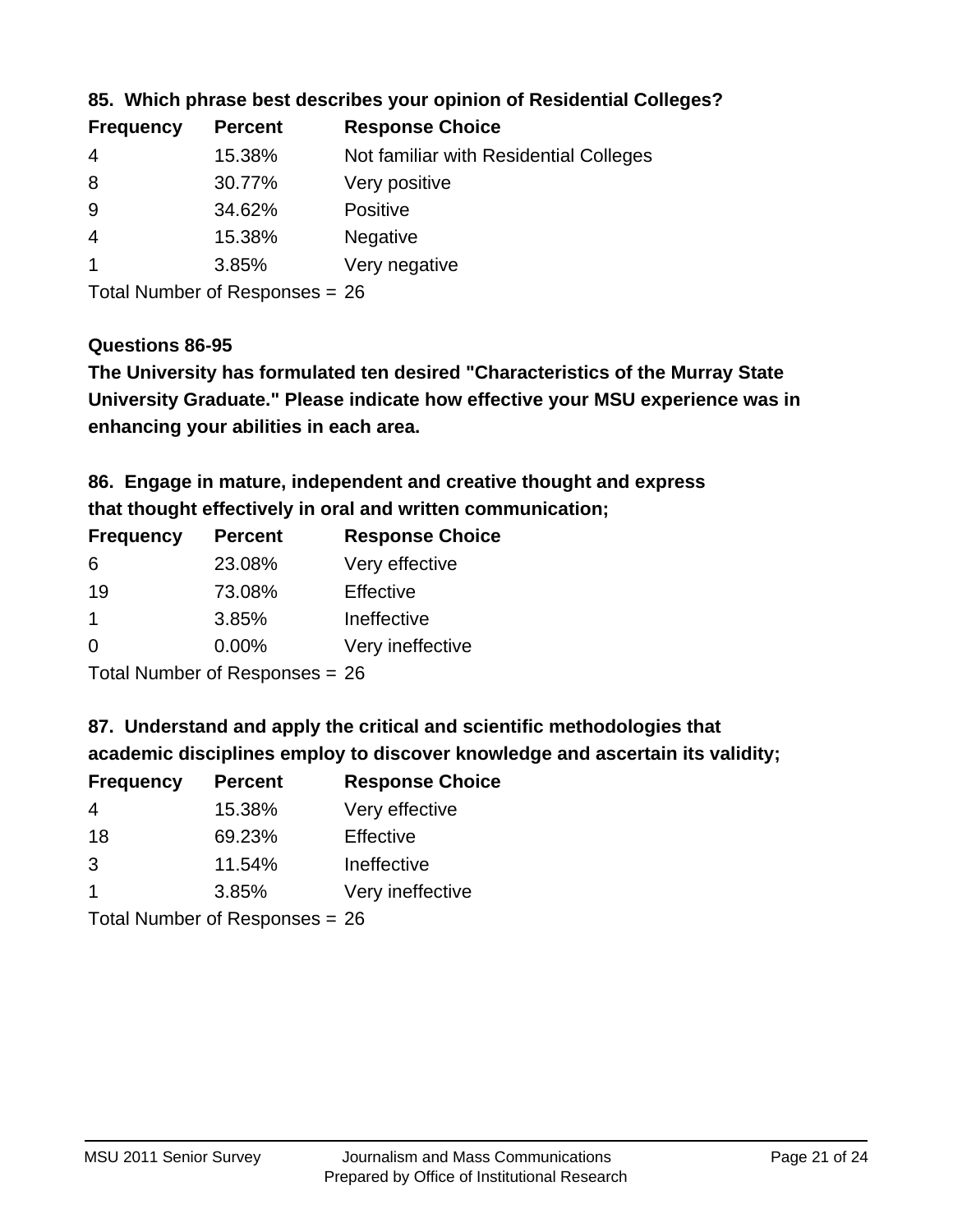| <b>Frequency</b> | <b>Percent</b> | <b>Response Choice</b>                 |
|------------------|----------------|----------------------------------------|
| -4               | 15.38%         | Not familiar with Residential Colleges |
| 8                | 30.77%         | Very positive                          |
| -9               | 34.62%         | <b>Positive</b>                        |
| 4                | 15.38%         | <b>Negative</b>                        |
|                  | 3.85%          | Very negative                          |
|                  |                |                                        |

## **85. Which phrase best describes your opinion of Residential Colleges?**

Total Number of Responses = 26

#### **Questions 86-95**

**University Graduate." Please indicate how effective your MSU experience was in The University has formulated ten desired "Characteristics of the Murray State enhancing your abilities in each area.**

## **86. Engage in mature, independent and creative thought and express that thought effectively in oral and written communication;**

| <b>Percent</b> | <b>Response Choice</b> |
|----------------|------------------------|
| 23.08%         | Very effective         |
| 73.08%         | Effective              |
| 3.85%          | Ineffective            |
| $0.00\%$       | Very ineffective       |
|                |                        |

Total Number of Responses = 26

#### **87. Understand and apply the critical and scientific methodologies that**

**academic disciplines employ to discover knowledge and ascertain its validity;**

| <b>Frequency</b> | <b>Percent</b> | <b>Response Choice</b> |
|------------------|----------------|------------------------|
| 4                | 15.38%         | Very effective         |
| 18               | 69.23%         | Effective              |
| 3                | 11.54%         | Ineffective            |
| $\mathbf 1$      | 3.85%          | Very ineffective       |
|                  |                |                        |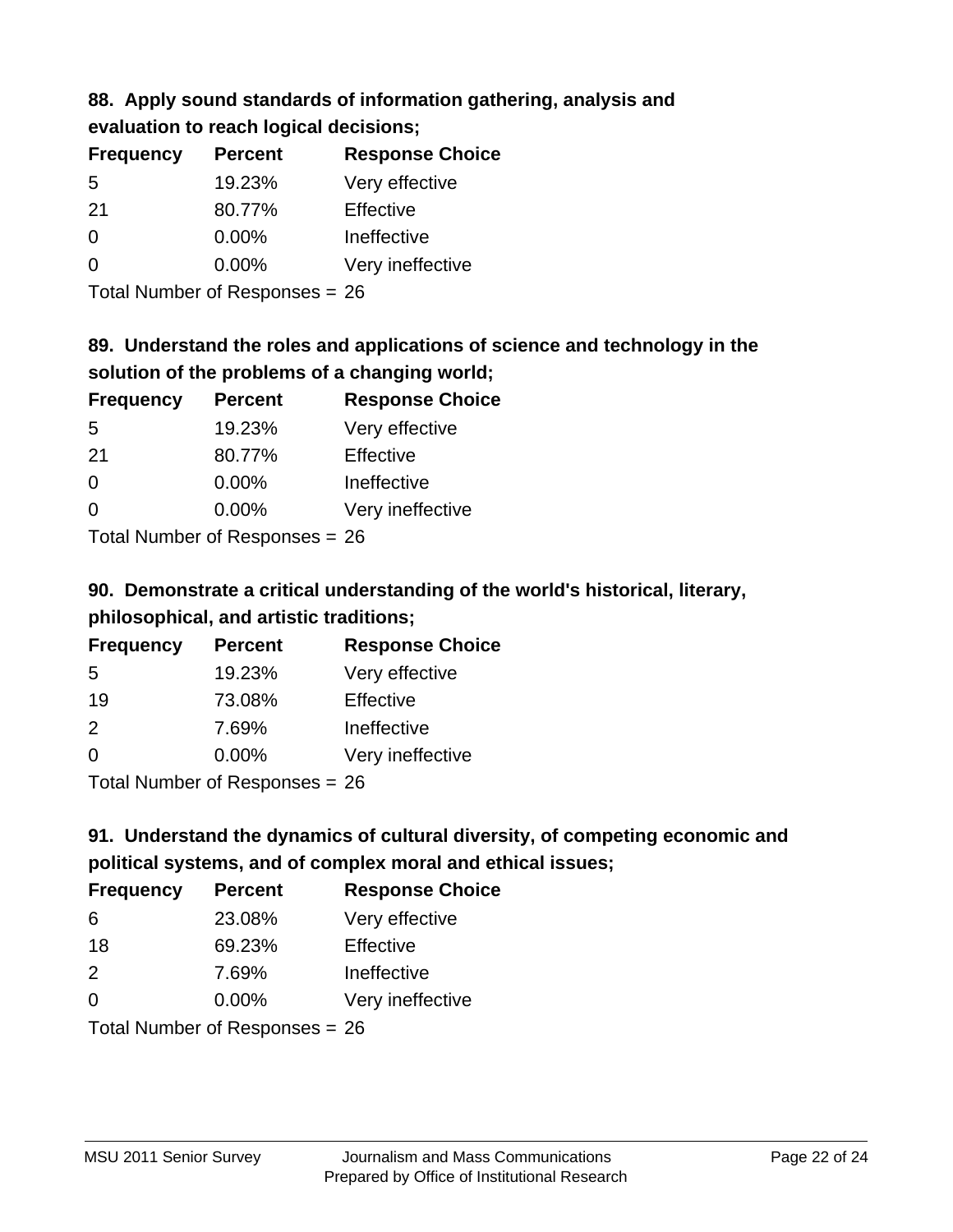#### **88. Apply sound standards of information gathering, analysis and evaluation to reach logical decisions;**

| Craigation to regul region acolorolo, |                |                        |
|---------------------------------------|----------------|------------------------|
| <b>Frequency</b>                      | <b>Percent</b> | <b>Response Choice</b> |
| 5                                     | 19.23%         | Very effective         |
| 21                                    | 80.77%         | Effective              |
| 0                                     | 0.00%          | Ineffective            |
| 0                                     | 0.00%          | Very ineffective       |

Total Number of Responses = 26

## **89. Understand the roles and applications of science and technology in the solution of the problems of a changing world;**

| <b>Frequency</b> | <b>Percent</b>               | <b>Response Choice</b> |
|------------------|------------------------------|------------------------|
| 5                | 19.23%                       | Very effective         |
| 21               | 80.77%                       | Effective              |
| $\Omega$         | 0.00%                        | Ineffective            |
| $\Omega$         | 0.00%                        | Very ineffective       |
|                  | $\tau$ . The state of $\sim$ |                        |

Total Number of Responses = 26

## **90. Demonstrate a critical understanding of the world's historical, literary, philosophical, and artistic traditions;**

| <b>Frequency</b>                                                                                                                 | <b>Percent</b> | <b>Response Choice</b> |
|----------------------------------------------------------------------------------------------------------------------------------|----------------|------------------------|
| 5                                                                                                                                | 19.23%         | Very effective         |
| 19                                                                                                                               | 73.08%         | Effective              |
| $\mathcal{P}$                                                                                                                    | 7.69%          | Ineffective            |
| $\Omega$                                                                                                                         | 0.00%          | Very ineffective       |
| $\tau$ . $\tau$ . In the set of $\tau$ , $\tau$ , $\tau$ , $\tau$ , $\tau$ , $\tau$ , $\tau$ , $\tau$ , $\tau$ , $\tau$ , $\tau$ |                |                        |

Total Number of Responses = 26

## **91. Understand the dynamics of cultural diversity, of competing economic and political systems, and of complex moral and ethical issues;**

| <b>Frequency</b> | <b>Percent</b>                 | <b>Response Choice</b> |
|------------------|--------------------------------|------------------------|
| 6                | 23.08%                         | Very effective         |
| 18               | 69.23%                         | Effective              |
| 2                | 7.69%                          | Ineffective            |
| $\Omega$         | 0.00%                          | Very ineffective       |
|                  | Total Number of Responses = 26 |                        |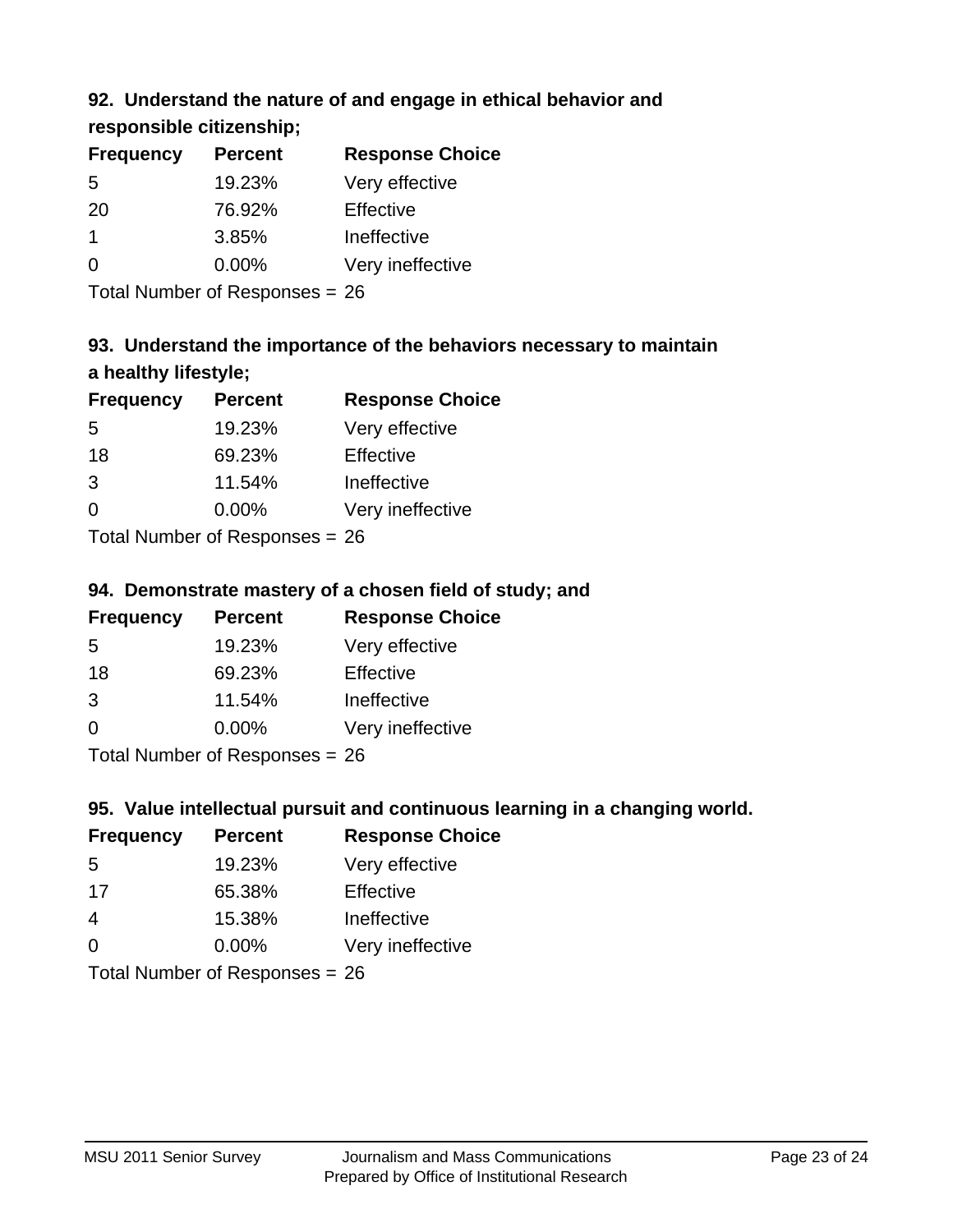## **92. Understand the nature of and engage in ethical behavior and**

**responsible citizenship;**

| <b>Frequency</b> | <b>Percent</b> | <b>Response Choice</b> |
|------------------|----------------|------------------------|
| .5               | 19.23%         | Very effective         |
| -20              | 76.92%         | Effective              |
|                  | 3.85%          | Ineffective            |
| ∩                | $0.00\%$       | Very ineffective       |
|                  |                |                        |

Total Number of Responses = 26

## **93. Understand the importance of the behaviors necessary to maintain a healthy lifestyle;**

| <b>Frequency</b> | <b>Percent</b>             | <b>Response Choice</b> |
|------------------|----------------------------|------------------------|
| .5               | 19.23%                     | Very effective         |
| 18               | 69.23%                     | Effective              |
| 3                | 11.54%                     | Ineffective            |
| $\Omega$         | $0.00\%$                   | Very ineffective       |
|                  | Total Number of Desperance |                        |

Total Number of Responses = 26

## **94. Demonstrate mastery of a chosen field of study; and**

| <b>Frequency</b> | <b>Percent</b> | <b>Response Choice</b> |
|------------------|----------------|------------------------|
| .5               | 19.23%         | Very effective         |
| 18               | 69.23%         | Effective              |
| 3                | 11.54%         | Ineffective            |
| $\Omega$         | $0.00\%$       | Very ineffective       |
|                  |                |                        |

Total Number of Responses = 26

## **95. Value intellectual pursuit and continuous learning in a changing world.**

| <b>Frequency</b> | <b>Percent</b> | <b>Response Choice</b> |
|------------------|----------------|------------------------|
| -5               | 19.23%         | Very effective         |
| -17              | 65.38%         | Effective              |
| 4                | 15.38%         | Ineffective            |
| $\Omega$         | 0.00%          | Very ineffective       |
|                  |                |                        |